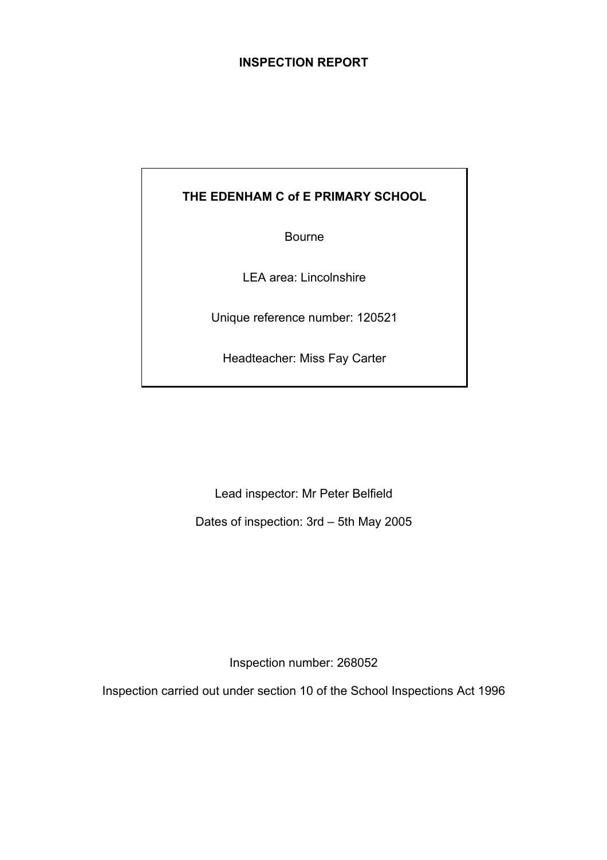# **INSPECTION REPORT**

# **THE EDENHAM C of E PRIMARY SCHOOL**

Bourne

LEA area: Lincolnshire

Unique reference number: 120521

Headteacher: Miss Fay Carter

Lead inspector: Mr Peter Belfield

Dates of inspection: 3rd – 5th May 2005

Inspection number: 268052

Inspection carried out under section 10 of the School Inspections Act 1996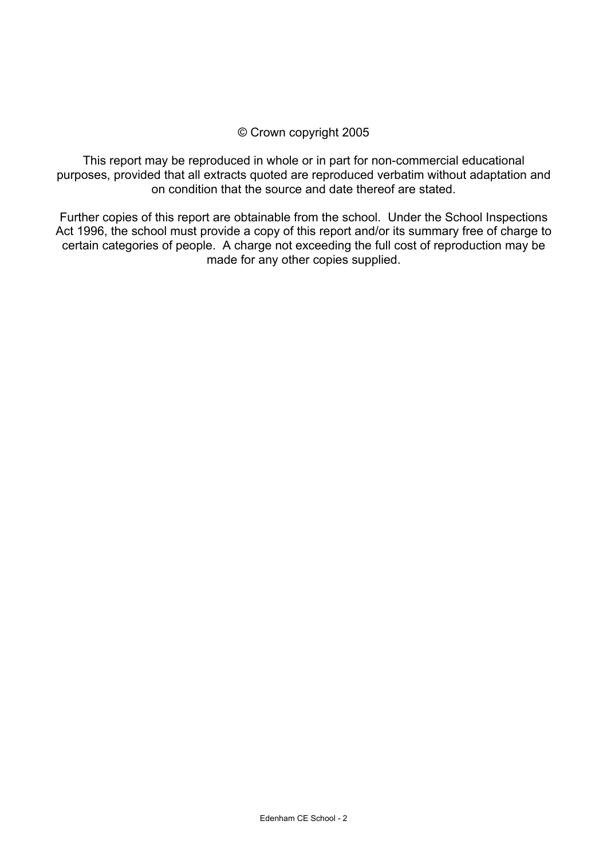# © Crown copyright 2005

This report may be reproduced in whole or in part for non-commercial educational purposes, provided that all extracts quoted are reproduced verbatim without adaptation and on condition that the source and date thereof are stated.

Further copies of this report are obtainable from the school. Under the School Inspections Act 1996, the school must provide a copy of this report and/or its summary free of charge to certain categories of people. A charge not exceeding the full cost of reproduction may be made for any other copies supplied.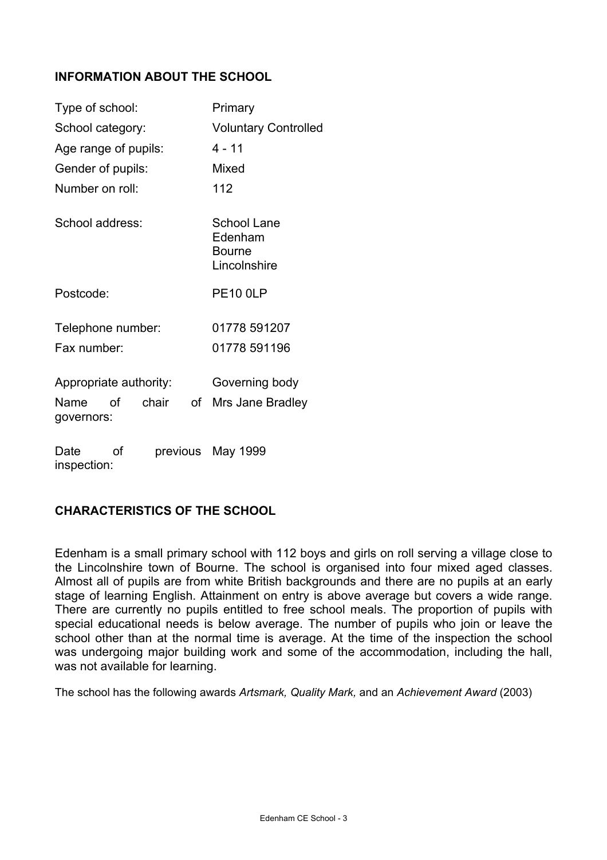# **INFORMATION ABOUT THE SCHOOL**

| Type of school:                         | Primary                                          |  |
|-----------------------------------------|--------------------------------------------------|--|
| School category:                        | <b>Voluntary Controlled</b>                      |  |
| Age range of pupils:                    | $4 - 11$                                         |  |
| Gender of pupils:                       | Mixed                                            |  |
| Number on roll:                         | 112                                              |  |
| School address:                         | School Lane<br>Edenham<br>Bourne<br>Lincolnshire |  |
| Postcode:                               | <b>PE10 0LP</b>                                  |  |
| Telephone number:                       | 01778 591207                                     |  |
| Fax number:                             | 01778 591196                                     |  |
| Appropriate authority:                  | Governing body                                   |  |
| Ωf<br>chair<br>οf<br>Name<br>governors: | Mrs Jane Bradley                                 |  |
| Date<br>οf<br>previous<br>inspection:   | May 1999                                         |  |

# **CHARACTERISTICS OF THE SCHOOL**

Edenham is a small primary school with 112 boys and girls on roll serving a village close to the Lincolnshire town of Bourne. The school is organised into four mixed aged classes. Almost all of pupils are from white British backgrounds and there are no pupils at an early stage of learning English. Attainment on entry is above average but covers a wide range. There are currently no pupils entitled to free school meals. The proportion of pupils with special educational needs is below average. The number of pupils who join or leave the school other than at the normal time is average. At the time of the inspection the school was undergoing major building work and some of the accommodation, including the hall, was not available for learning.

The school has the following awards *Artsmark, Quality Mark,* and an *Achievement Award* (2003)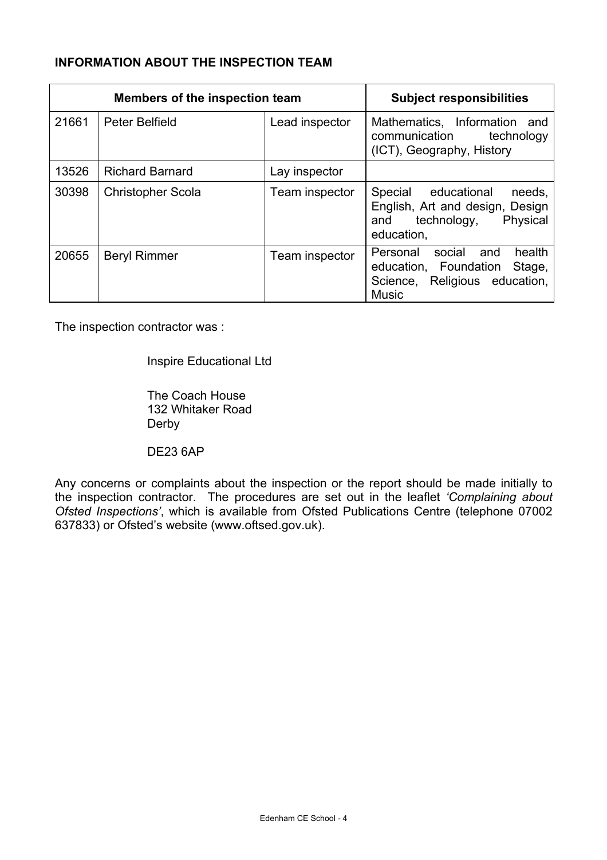# **INFORMATION ABOUT THE INSPECTION TEAM**

| Members of the inspection team |                          | <b>Subject responsibilities</b> |                                                                                                                         |
|--------------------------------|--------------------------|---------------------------------|-------------------------------------------------------------------------------------------------------------------------|
| 21661                          | Peter Belfield           | Lead inspector                  | Mathematics, Information<br>and<br>communication<br>technology<br>(ICT), Geography, History                             |
| 13526                          | <b>Richard Barnard</b>   | Lay inspector                   |                                                                                                                         |
| 30398                          | <b>Christopher Scola</b> | Team inspector                  | Special<br>educational<br>needs,<br>English, Art and design, Design<br>Physical<br>technology,<br>and<br>education,     |
| 20655                          | <b>Beryl Rimmer</b>      | Team inspector                  | health<br>Personal<br>social<br>and<br>education, Foundation<br>Stage,<br>Science, Religious education,<br><b>Music</b> |

The inspection contractor was :

Inspire Educational Ltd

 The Coach House 132 Whitaker Road Derby

DE23 6AP

Any concerns or complaints about the inspection or the report should be made initially to the inspection contractor. The procedures are set out in the leaflet *'Complaining about Ofsted Inspections'*, which is available from Ofsted Publications Centre (telephone 07002 637833) or Ofsted's website (www.oftsed.gov.uk).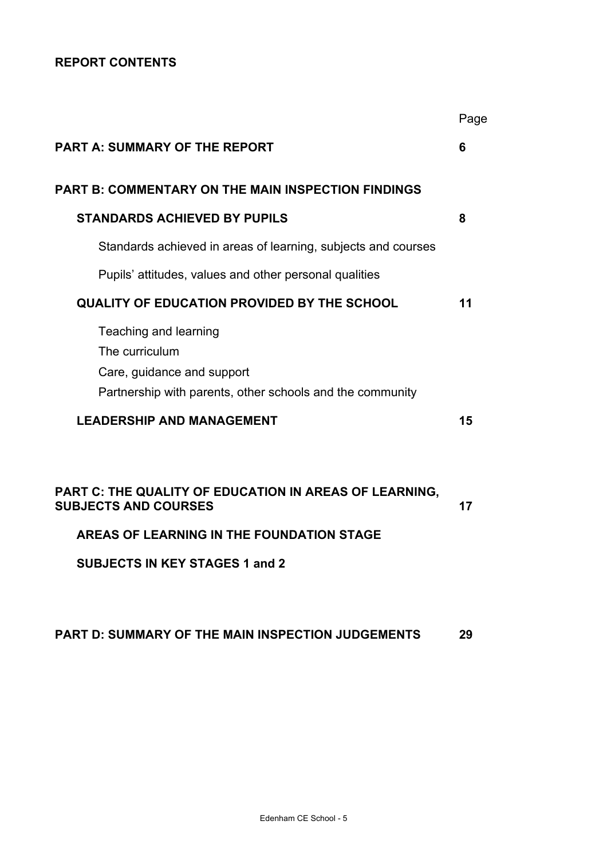# **REPORT CONTENTS**

|                                                                                                                                    | Page |
|------------------------------------------------------------------------------------------------------------------------------------|------|
| <b>PART A: SUMMARY OF THE REPORT</b>                                                                                               | 6    |
| <b>PART B: COMMENTARY ON THE MAIN INSPECTION FINDINGS</b>                                                                          |      |
| <b>STANDARDS ACHIEVED BY PUPILS</b>                                                                                                | 8    |
| Standards achieved in areas of learning, subjects and courses                                                                      |      |
| Pupils' attitudes, values and other personal qualities                                                                             |      |
| <b>QUALITY OF EDUCATION PROVIDED BY THE SCHOOL</b>                                                                                 | 11   |
| Teaching and learning<br>The curriculum<br>Care, guidance and support<br>Partnership with parents, other schools and the community |      |
| <b>LEADERSHIP AND MANAGEMENT</b>                                                                                                   | 15   |
| PART C: THE QUALITY OF EDUCATION IN AREAS OF LEARNING,<br><b>SUBJECTS AND COURSES</b>                                              | 17   |
| AREAS OF LEARNING IN THE FOUNDATION STAGE                                                                                          |      |
| <b>SUBJECTS IN KEY STAGES 1 and 2</b>                                                                                              |      |
|                                                                                                                                    |      |

# **PART D: SUMMARY OF THE MAIN INSPECTION JUDGEMENTS 29**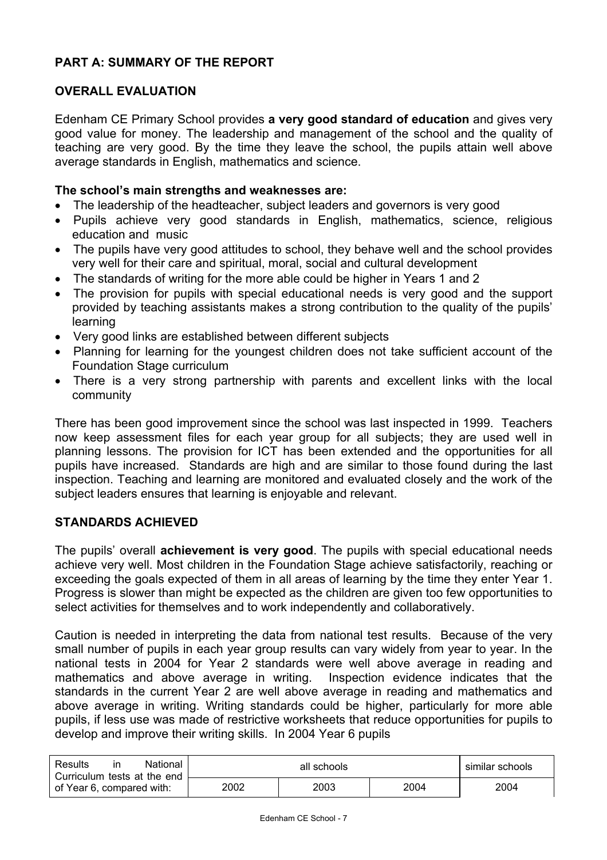# **PART A: SUMMARY OF THE REPORT**

# **OVERALL EVALUATION**

Edenham CE Primary School provides **a very good standard of education** and gives very good value for money. The leadership and management of the school and the quality of teaching are very good. By the time they leave the school, the pupils attain well above average standards in English, mathematics and science.

### **The school's main strengths and weaknesses are:**

- The leadership of the headteacher, subject leaders and governors is very good
- Pupils achieve very good standards in English, mathematics, science, religious education and music
- The pupils have very good attitudes to school, they behave well and the school provides very well for their care and spiritual, moral, social and cultural development
- The standards of writing for the more able could be higher in Years 1 and 2
- The provision for pupils with special educational needs is very good and the support provided by teaching assistants makes a strong contribution to the quality of the pupils' learning
- Very good links are established between different subjects
- Planning for learning for the youngest children does not take sufficient account of the Foundation Stage curriculum
- There is a very strong partnership with parents and excellent links with the local community

There has been good improvement since the school was last inspected in 1999. Teachers now keep assessment files for each year group for all subjects; they are used well in planning lessons. The provision for ICT has been extended and the opportunities for all pupils have increased. Standards are high and are similar to those found during the last inspection. Teaching and learning are monitored and evaluated closely and the work of the subject leaders ensures that learning is enjoyable and relevant.

# **STANDARDS ACHIEVED**

The pupils' overall **achievement is very good**. The pupils with special educational needs achieve very well. Most children in the Foundation Stage achieve satisfactorily, reaching or exceeding the goals expected of them in all areas of learning by the time they enter Year 1. Progress is slower than might be expected as the children are given too few opportunities to select activities for themselves and to work independently and collaboratively.

Caution is needed in interpreting the data from national test results. Because of the very small number of pupils in each year group results can vary widely from year to year. In the national tests in 2004 for Year 2 standards were well above average in reading and mathematics and above average in writing. Inspection evidence indicates that the standards in the current Year 2 are well above average in reading and mathematics and above average in writing. Writing standards could be higher, particularly for more able pupils, if less use was made of restrictive worksheets that reduce opportunities for pupils to develop and improve their writing skills. In 2004 Year 6 pupils

| Results<br>National<br>ın<br>Curriculum tests at the end | all schools |      |      | similar schools |
|----------------------------------------------------------|-------------|------|------|-----------------|
| of Year 6, compared with:                                | 2002        | 2003 | 2004 | 2004            |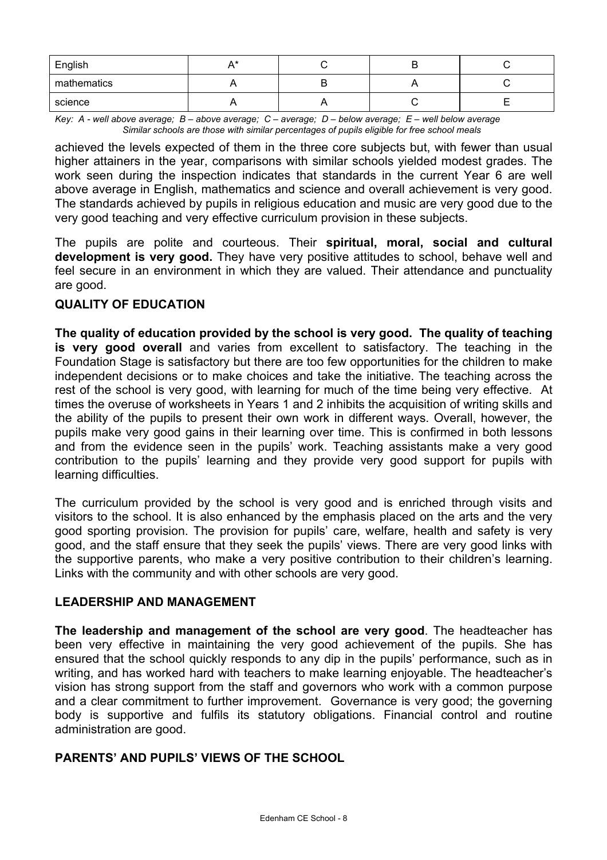| English     |  |  |
|-------------|--|--|
| mathematics |  |  |
| science     |  |  |

*Key: A - well above average; B – above average; C – average; D – below average; E – well below average Similar schools are those with similar percentages of pupils eligible for free school meals* 

achieved the levels expected of them in the three core subjects but, with fewer than usual higher attainers in the year, comparisons with similar schools yielded modest grades. The work seen during the inspection indicates that standards in the current Year 6 are well above average in English, mathematics and science and overall achievement is very good. The standards achieved by pupils in religious education and music are very good due to the very good teaching and very effective curriculum provision in these subjects.

The pupils are polite and courteous. Their **spiritual, moral, social and cultural development is very good.** They have very positive attitudes to school, behave well and feel secure in an environment in which they are valued. Their attendance and punctuality are good.

# **QUALITY OF EDUCATION**

**The quality of education provided by the school is very good. The quality of teaching is very good overall** and varies from excellent to satisfactory. The teaching in the Foundation Stage is satisfactory but there are too few opportunities for the children to make independent decisions or to make choices and take the initiative. The teaching across the rest of the school is very good, with learning for much of the time being very effective. At times the overuse of worksheets in Years 1 and 2 inhibits the acquisition of writing skills and the ability of the pupils to present their own work in different ways. Overall, however, the pupils make very good gains in their learning over time. This is confirmed in both lessons and from the evidence seen in the pupils' work. Teaching assistants make a very good contribution to the pupils' learning and they provide very good support for pupils with learning difficulties.

The curriculum provided by the school is very good and is enriched through visits and visitors to the school. It is also enhanced by the emphasis placed on the arts and the very good sporting provision. The provision for pupils' care, welfare, health and safety is very good, and the staff ensure that they seek the pupils' views. There are very good links with the supportive parents, who make a very positive contribution to their children's learning. Links with the community and with other schools are very good.

# **LEADERSHIP AND MANAGEMENT**

**The leadership and management of the school are very good**. The headteacher has been very effective in maintaining the very good achievement of the pupils. She has ensured that the school quickly responds to any dip in the pupils' performance, such as in writing, and has worked hard with teachers to make learning enjoyable. The headteacher's vision has strong support from the staff and governors who work with a common purpose and a clear commitment to further improvement. Governance is very good; the governing body is supportive and fulfils its statutory obligations. Financial control and routine administration are good.

# **PARENTS' AND PUPILS' VIEWS OF THE SCHOOL**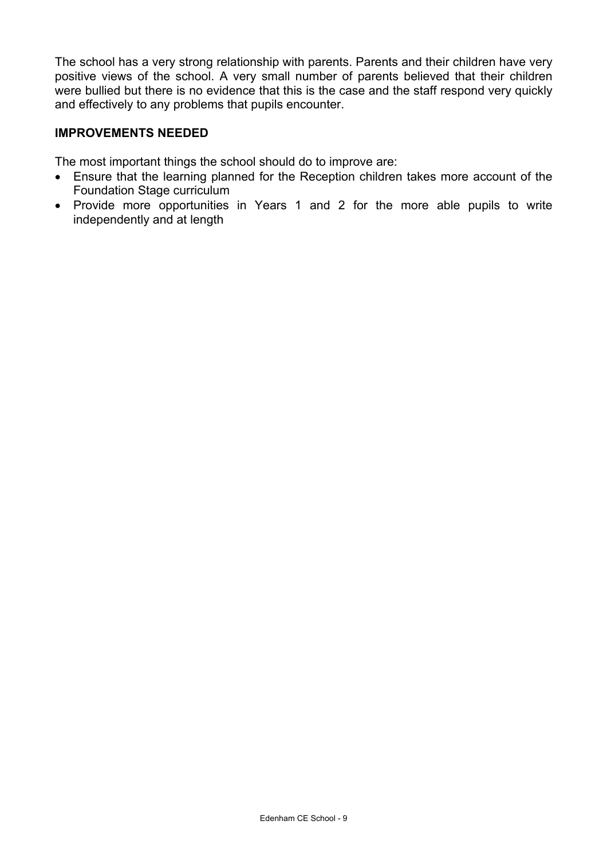The school has a very strong relationship with parents. Parents and their children have very positive views of the school. A very small number of parents believed that their children were bullied but there is no evidence that this is the case and the staff respond very quickly and effectively to any problems that pupils encounter.

# **IMPROVEMENTS NEEDED**

The most important things the school should do to improve are:

- Ensure that the learning planned for the Reception children takes more account of the Foundation Stage curriculum
- Provide more opportunities in Years 1 and 2 for the more able pupils to write independently and at length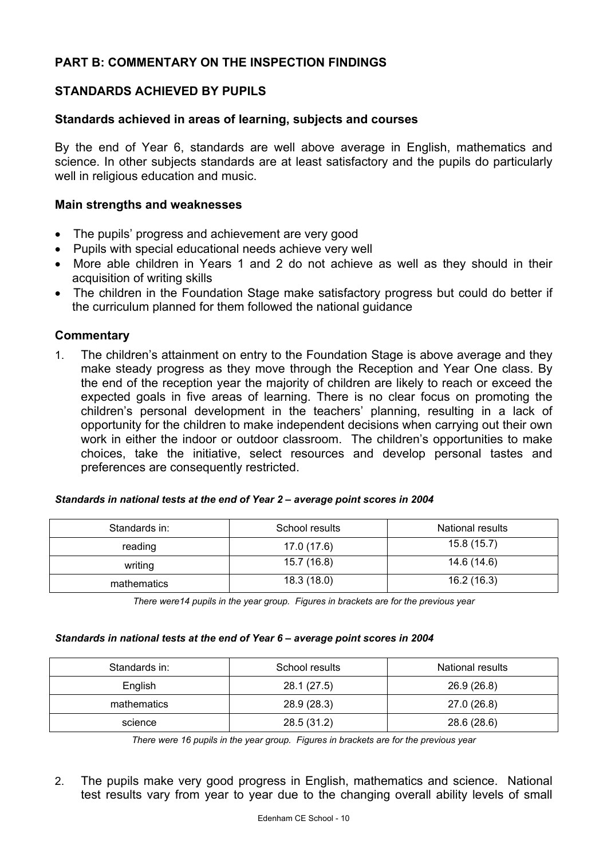# **PART B: COMMENTARY ON THE INSPECTION FINDINGS**

# **STANDARDS ACHIEVED BY PUPILS**

### **Standards achieved in areas of learning, subjects and courses**

By the end of Year 6, standards are well above average in English, mathematics and science. In other subjects standards are at least satisfactory and the pupils do particularly well in religious education and music.

### **Main strengths and weaknesses**

- The pupils' progress and achievement are very good
- Pupils with special educational needs achieve very well
- More able children in Years 1 and 2 do not achieve as well as they should in their acquisition of writing skills
- The children in the Foundation Stage make satisfactory progress but could do better if the curriculum planned for them followed the national guidance

### **Commentary**

1. The children's attainment on entry to the Foundation Stage is above average and they make steady progress as they move through the Reception and Year One class. By the end of the reception year the majority of children are likely to reach or exceed the expected goals in five areas of learning. There is no clear focus on promoting the children's personal development in the teachers' planning, resulting in a lack of opportunity for the children to make independent decisions when carrying out their own work in either the indoor or outdoor classroom. The children's opportunities to make choices, take the initiative, select resources and develop personal tastes and preferences are consequently restricted.

| Standards in: | School results | National results |
|---------------|----------------|------------------|
| reading       | 17.0 (17.6)    | 15.8(15.7)       |
| writing       | 15.7 (16.8)    | 14.6 (14.6)      |
| mathematics   | 18.3(18.0)     | 16.2(16.3)       |

#### *Standards in national tests at the end of Year 2 – average point scores in 2004*

*There were14 pupils in the year group. Figures in brackets are for the previous year* 

#### *Standards in national tests at the end of Year 6 – average point scores in 2004*

| Standards in: | School results | National results |
|---------------|----------------|------------------|
| English       | 28.1 (27.5)    | 26.9 (26.8)      |
| mathematics   | 28.9 (28.3)    | 27.0 (26.8)      |
| science       | 28.5 (31.2)    | 28.6 (28.6)      |

*There were 16 pupils in the year group. Figures in brackets are for the previous year* 

2. The pupils make very good progress in English, mathematics and science. National test results vary from year to year due to the changing overall ability levels of small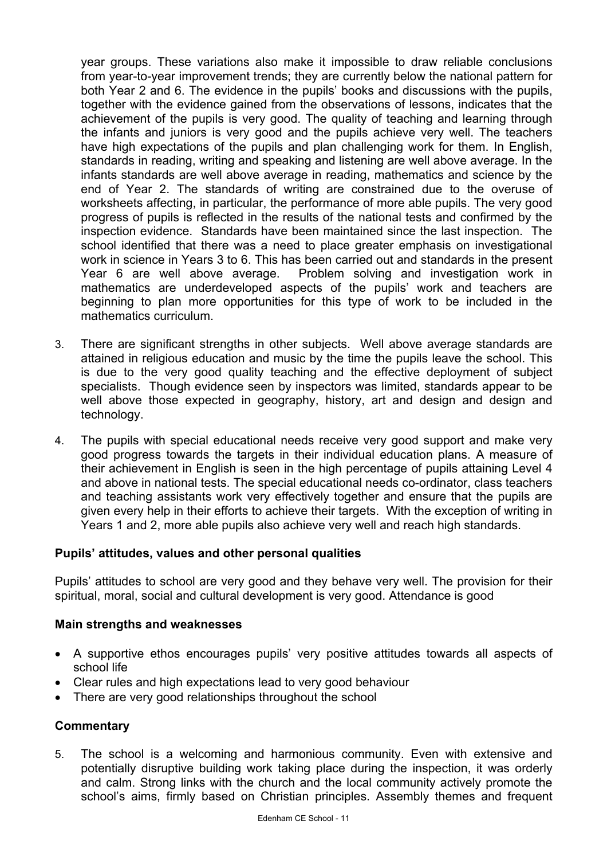year groups. These variations also make it impossible to draw reliable conclusions from year-to-year improvement trends; they are currently below the national pattern for both Year 2 and 6. The evidence in the pupils' books and discussions with the pupils, together with the evidence gained from the observations of lessons, indicates that the achievement of the pupils is very good. The quality of teaching and learning through the infants and juniors is very good and the pupils achieve very well. The teachers have high expectations of the pupils and plan challenging work for them. In English, standards in reading, writing and speaking and listening are well above average. In the infants standards are well above average in reading, mathematics and science by the end of Year 2. The standards of writing are constrained due to the overuse of worksheets affecting, in particular, the performance of more able pupils. The very good progress of pupils is reflected in the results of the national tests and confirmed by the inspection evidence. Standards have been maintained since the last inspection. The school identified that there was a need to place greater emphasis on investigational work in science in Years 3 to 6. This has been carried out and standards in the present Year 6 are well above average. Problem solving and investigation work in mathematics are underdeveloped aspects of the pupils' work and teachers are beginning to plan more opportunities for this type of work to be included in the mathematics curriculum.

- 3. There are significant strengths in other subjects. Well above average standards are attained in religious education and music by the time the pupils leave the school. This is due to the very good quality teaching and the effective deployment of subject specialists. Though evidence seen by inspectors was limited, standards appear to be well above those expected in geography, history, art and design and design and technology.
- 4. The pupils with special educational needs receive very good support and make very good progress towards the targets in their individual education plans. A measure of their achievement in English is seen in the high percentage of pupils attaining Level 4 and above in national tests. The special educational needs co-ordinator, class teachers and teaching assistants work very effectively together and ensure that the pupils are given every help in their efforts to achieve their targets. With the exception of writing in Years 1 and 2, more able pupils also achieve very well and reach high standards.

# **Pupils' attitudes, values and other personal qualities**

Pupils' attitudes to school are very good and they behave very well. The provision for their spiritual, moral, social and cultural development is very good. Attendance is good

# **Main strengths and weaknesses**

- A supportive ethos encourages pupils' very positive attitudes towards all aspects of school life
- Clear rules and high expectations lead to very good behaviour
- There are very good relationships throughout the school

# **Commentary**

5. The school is a welcoming and harmonious community. Even with extensive and potentially disruptive building work taking place during the inspection, it was orderly and calm. Strong links with the church and the local community actively promote the school's aims, firmly based on Christian principles. Assembly themes and frequent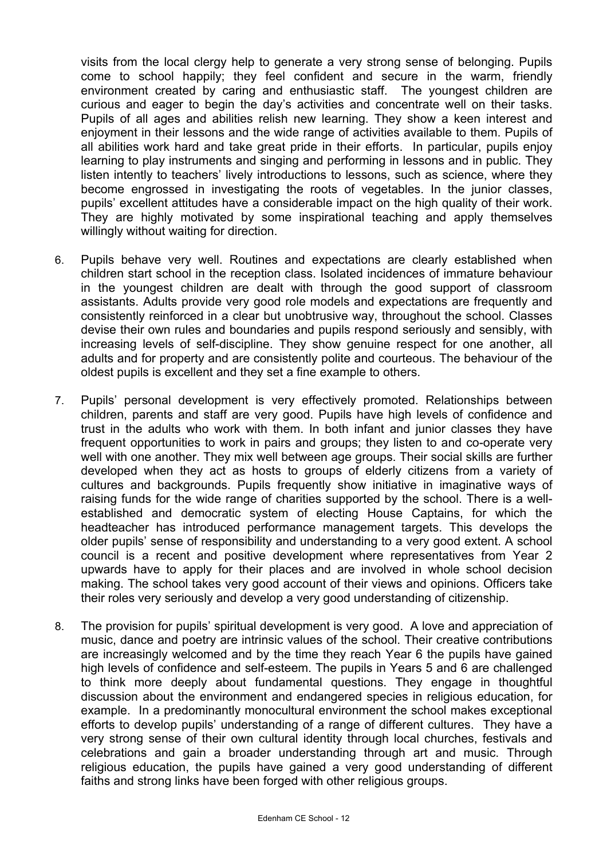visits from the local clergy help to generate a very strong sense of belonging. Pupils come to school happily; they feel confident and secure in the warm, friendly environment created by caring and enthusiastic staff. The youngest children are curious and eager to begin the day's activities and concentrate well on their tasks. Pupils of all ages and abilities relish new learning. They show a keen interest and enjoyment in their lessons and the wide range of activities available to them. Pupils of all abilities work hard and take great pride in their efforts. In particular, pupils enjoy learning to play instruments and singing and performing in lessons and in public. They listen intently to teachers' lively introductions to lessons, such as science, where they become engrossed in investigating the roots of vegetables. In the junior classes, pupils' excellent attitudes have a considerable impact on the high quality of their work. They are highly motivated by some inspirational teaching and apply themselves willingly without waiting for direction.

- 6. Pupils behave very well. Routines and expectations are clearly established when children start school in the reception class. Isolated incidences of immature behaviour in the youngest children are dealt with through the good support of classroom assistants. Adults provide very good role models and expectations are frequently and consistently reinforced in a clear but unobtrusive way, throughout the school. Classes devise their own rules and boundaries and pupils respond seriously and sensibly, with increasing levels of self-discipline. They show genuine respect for one another, all adults and for property and are consistently polite and courteous. The behaviour of the oldest pupils is excellent and they set a fine example to others.
- 7. Pupils' personal development is very effectively promoted. Relationships between children, parents and staff are very good. Pupils have high levels of confidence and trust in the adults who work with them. In both infant and junior classes they have frequent opportunities to work in pairs and groups; they listen to and co-operate very well with one another. They mix well between age groups. Their social skills are further developed when they act as hosts to groups of elderly citizens from a variety of cultures and backgrounds. Pupils frequently show initiative in imaginative ways of raising funds for the wide range of charities supported by the school. There is a wellestablished and democratic system of electing House Captains, for which the headteacher has introduced performance management targets. This develops the older pupils' sense of responsibility and understanding to a very good extent. A school council is a recent and positive development where representatives from Year 2 upwards have to apply for their places and are involved in whole school decision making. The school takes very good account of their views and opinions. Officers take their roles very seriously and develop a very good understanding of citizenship.
- 8. The provision for pupils' spiritual development is very good. A love and appreciation of music, dance and poetry are intrinsic values of the school. Their creative contributions are increasingly welcomed and by the time they reach Year 6 the pupils have gained high levels of confidence and self-esteem. The pupils in Years 5 and 6 are challenged to think more deeply about fundamental questions. They engage in thoughtful discussion about the environment and endangered species in religious education, for example. In a predominantly monocultural environment the school makes exceptional efforts to develop pupils' understanding of a range of different cultures. They have a very strong sense of their own cultural identity through local churches, festivals and celebrations and gain a broader understanding through art and music. Through religious education, the pupils have gained a very good understanding of different faiths and strong links have been forged with other religious groups.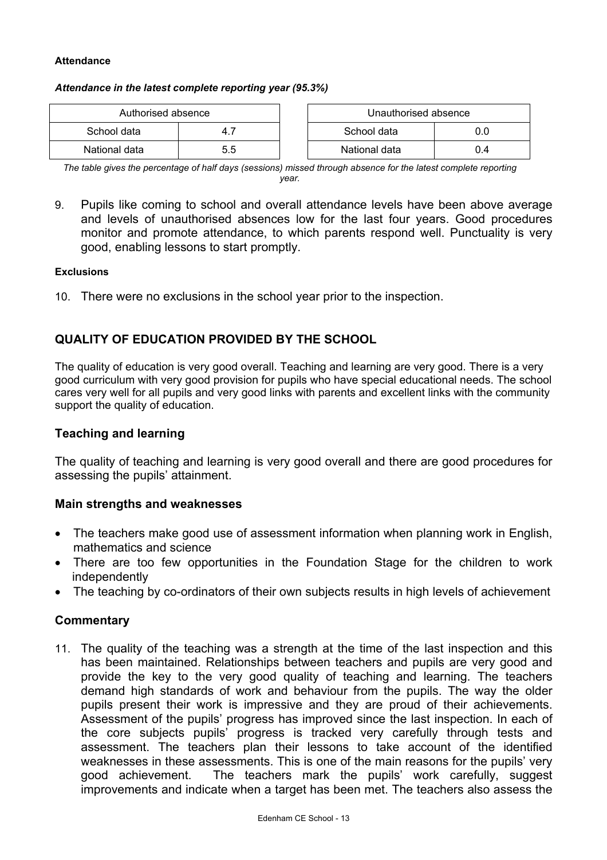#### **Attendance**

#### *Attendance in the latest complete reporting year (95.3%)*

| Authorised absence |     | Unauthorised absence |     |
|--------------------|-----|----------------------|-----|
| School data        |     | School data          |     |
| National data      | 5.5 | National data        | 0.4 |

| Authorised absence |     | Unauthorised absence |               |     |
|--------------------|-----|----------------------|---------------|-----|
| data               |     |                      | School data   | O.C |
| ∣ data             | 5.5 |                      | National data | 0.4 |

*The table gives the percentage of half days (sessions) missed through absence for the latest complete reporting year.*

9. Pupils like coming to school and overall attendance levels have been above average and levels of unauthorised absences low for the last four years. Good procedures monitor and promote attendance, to which parents respond well. Punctuality is very good, enabling lessons to start promptly.

#### **Exclusions**

10. There were no exclusions in the school year prior to the inspection.

# **QUALITY OF EDUCATION PROVIDED BY THE SCHOOL**

The quality of education is very good overall. Teaching and learning are very good. There is a very good curriculum with very good provision for pupils who have special educational needs. The school cares very well for all pupils and very good links with parents and excellent links with the community support the quality of education.

### **Teaching and learning**

The quality of teaching and learning is very good overall and there are good procedures for assessing the pupils' attainment.

#### **Main strengths and weaknesses**

- The teachers make good use of assessment information when planning work in English, mathematics and science
- There are too few opportunities in the Foundation Stage for the children to work independently
- The teaching by co-ordinators of their own subjects results in high levels of achievement

#### **Commentary**

11. The quality of the teaching was a strength at the time of the last inspection and this has been maintained. Relationships between teachers and pupils are very good and provide the key to the very good quality of teaching and learning. The teachers demand high standards of work and behaviour from the pupils. The way the older pupils present their work is impressive and they are proud of their achievements. Assessment of the pupils' progress has improved since the last inspection. In each of the core subjects pupils' progress is tracked very carefully through tests and assessment. The teachers plan their lessons to take account of the identified weaknesses in these assessments. This is one of the main reasons for the pupils' very good achievement. The teachers mark the pupils' work carefully, suggest improvements and indicate when a target has been met. The teachers also assess the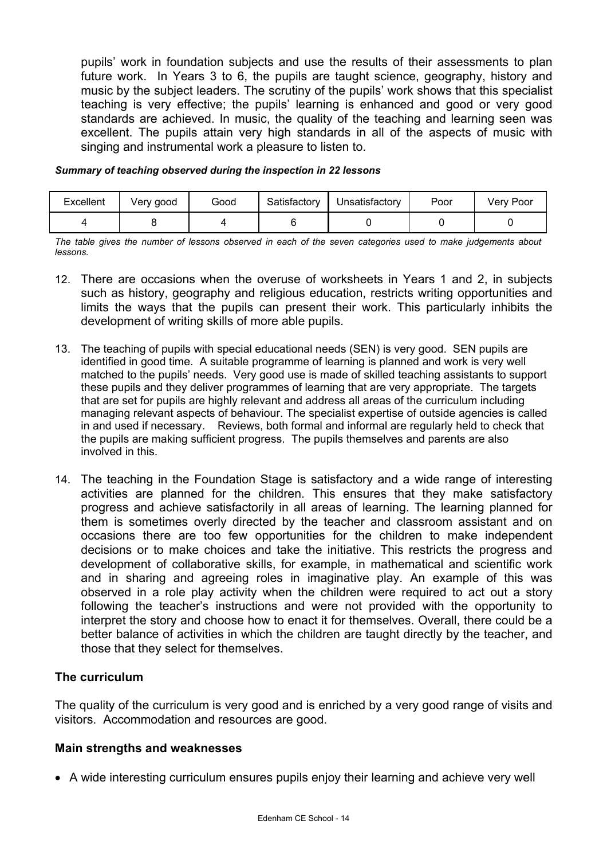pupils' work in foundation subjects and use the results of their assessments to plan future work. In Years 3 to 6, the pupils are taught science, geography, history and music by the subject leaders. The scrutiny of the pupils' work shows that this specialist teaching is very effective; the pupils' learning is enhanced and good or very good standards are achieved. In music, the quality of the teaching and learning seen was excellent. The pupils attain very high standards in all of the aspects of music with singing and instrumental work a pleasure to listen to.

#### *Summary of teaching observed during the inspection in 22 lessons*

| Excellent | Very good | Good | Satisfactory | Unsatisfactory | Poor | Very Poor |
|-----------|-----------|------|--------------|----------------|------|-----------|
|           |           |      |              |                |      |           |

*The table gives the number of lessons observed in each of the seven categories used to make judgements about lessons.* 

- 12. There are occasions when the overuse of worksheets in Years 1 and 2, in subjects such as history, geography and religious education, restricts writing opportunities and limits the ways that the pupils can present their work. This particularly inhibits the development of writing skills of more able pupils.
- 13. The teaching of pupils with special educational needs (SEN) is very good. SEN pupils are identified in good time. A suitable programme of learning is planned and work is very well matched to the pupils' needs. Very good use is made of skilled teaching assistants to support these pupils and they deliver programmes of learning that are very appropriate. The targets that are set for pupils are highly relevant and address all areas of the curriculum including managing relevant aspects of behaviour. The specialist expertise of outside agencies is called in and used if necessary. Reviews, both formal and informal are regularly held to check that the pupils are making sufficient progress. The pupils themselves and parents are also involved in this.
- 14. The teaching in the Foundation Stage is satisfactory and a wide range of interesting activities are planned for the children. This ensures that they make satisfactory progress and achieve satisfactorily in all areas of learning. The learning planned for them is sometimes overly directed by the teacher and classroom assistant and on occasions there are too few opportunities for the children to make independent decisions or to make choices and take the initiative. This restricts the progress and development of collaborative skills, for example, in mathematical and scientific work and in sharing and agreeing roles in imaginative play. An example of this was observed in a role play activity when the children were required to act out a story following the teacher's instructions and were not provided with the opportunity to interpret the story and choose how to enact it for themselves. Overall, there could be a better balance of activities in which the children are taught directly by the teacher, and those that they select for themselves.

# **The curriculum**

The quality of the curriculum is very good and is enriched by a very good range of visits and visitors. Accommodation and resources are good.

# **Main strengths and weaknesses**

• A wide interesting curriculum ensures pupils enjoy their learning and achieve very well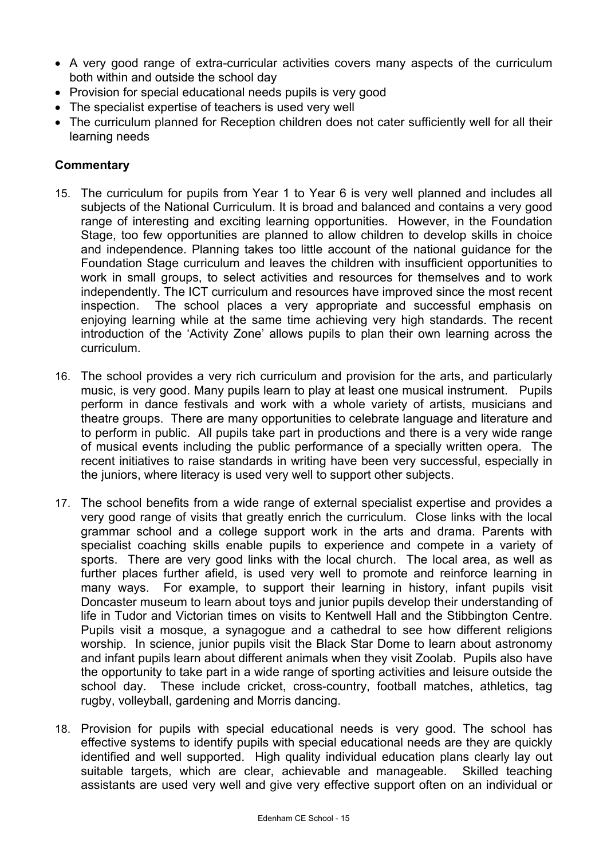- A very good range of extra-curricular activities covers many aspects of the curriculum both within and outside the school day
- Provision for special educational needs pupils is very good
- The specialist expertise of teachers is used very well
- The curriculum planned for Reception children does not cater sufficiently well for all their learning needs

- 15. The curriculum for pupils from Year 1 to Year 6 is very well planned and includes all subjects of the National Curriculum. It is broad and balanced and contains a very good range of interesting and exciting learning opportunities. However, in the Foundation Stage, too few opportunities are planned to allow children to develop skills in choice and independence. Planning takes too little account of the national guidance for the Foundation Stage curriculum and leaves the children with insufficient opportunities to work in small groups, to select activities and resources for themselves and to work independently. The ICT curriculum and resources have improved since the most recent inspection. The school places a very appropriate and successful emphasis on enjoying learning while at the same time achieving very high standards. The recent introduction of the 'Activity Zone' allows pupils to plan their own learning across the curriculum.
- 16. The school provides a very rich curriculum and provision for the arts, and particularly music, is very good. Many pupils learn to play at least one musical instrument. Pupils perform in dance festivals and work with a whole variety of artists, musicians and theatre groups. There are many opportunities to celebrate language and literature and to perform in public. All pupils take part in productions and there is a very wide range of musical events including the public performance of a specially written opera. The recent initiatives to raise standards in writing have been very successful, especially in the juniors, where literacy is used very well to support other subjects.
- 17. The school benefits from a wide range of external specialist expertise and provides a very good range of visits that greatly enrich the curriculum. Close links with the local grammar school and a college support work in the arts and drama. Parents with specialist coaching skills enable pupils to experience and compete in a variety of sports. There are very good links with the local church. The local area, as well as further places further afield, is used very well to promote and reinforce learning in many ways. For example, to support their learning in history, infant pupils visit Doncaster museum to learn about toys and junior pupils develop their understanding of life in Tudor and Victorian times on visits to Kentwell Hall and the Stibbington Centre. Pupils visit a mosque, a synagogue and a cathedral to see how different religions worship. In science, junior pupils visit the Black Star Dome to learn about astronomy and infant pupils learn about different animals when they visit Zoolab. Pupils also have the opportunity to take part in a wide range of sporting activities and leisure outside the school day. These include cricket, cross-country, football matches, athletics, tag rugby, volleyball, gardening and Morris dancing.
- 18. Provision for pupils with special educational needs is very good. The school has effective systems to identify pupils with special educational needs are they are quickly identified and well supported. High quality individual education plans clearly lay out suitable targets, which are clear, achievable and manageable. Skilled teaching assistants are used very well and give very effective support often on an individual or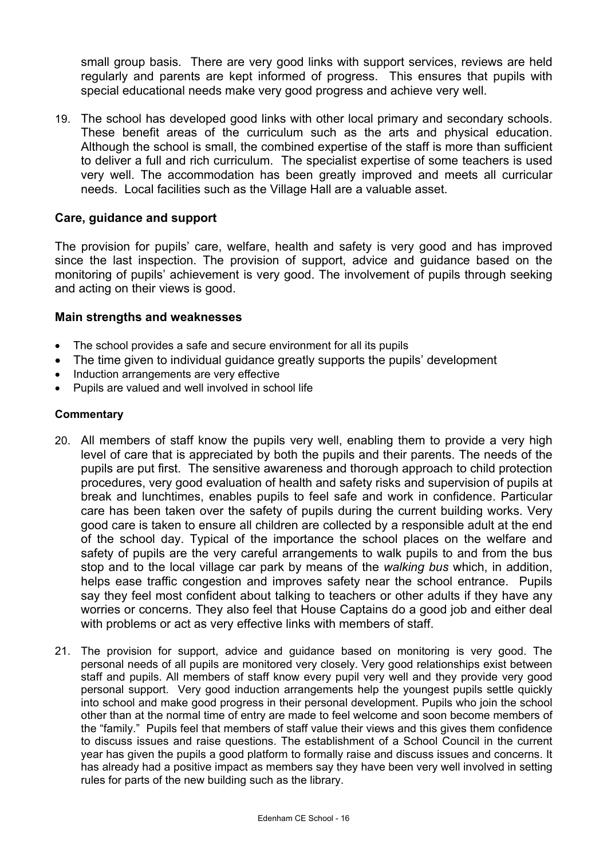small group basis. There are very good links with support services, reviews are held regularly and parents are kept informed of progress. This ensures that pupils with special educational needs make very good progress and achieve very well.

19. The school has developed good links with other local primary and secondary schools. These benefit areas of the curriculum such as the arts and physical education. Although the school is small, the combined expertise of the staff is more than sufficient to deliver a full and rich curriculum. The specialist expertise of some teachers is used very well. The accommodation has been greatly improved and meets all curricular needs. Local facilities such as the Village Hall are a valuable asset.

# **Care, guidance and support**

The provision for pupils' care, welfare, health and safety is very good and has improved since the last inspection. The provision of support, advice and guidance based on the monitoring of pupils' achievement is very good. The involvement of pupils through seeking and acting on their views is good.

# **Main strengths and weaknesses**

- The school provides a safe and secure environment for all its pupils
- The time given to individual guidance greatly supports the pupils' development
- Induction arrangements are very effective
- Pupils are valued and well involved in school life

- 20. All members of staff know the pupils very well, enabling them to provide a very high level of care that is appreciated by both the pupils and their parents. The needs of the pupils are put first. The sensitive awareness and thorough approach to child protection procedures, very good evaluation of health and safety risks and supervision of pupils at break and lunchtimes, enables pupils to feel safe and work in confidence. Particular care has been taken over the safety of pupils during the current building works. Very good care is taken to ensure all children are collected by a responsible adult at the end of the school day. Typical of the importance the school places on the welfare and safety of pupils are the very careful arrangements to walk pupils to and from the bus stop and to the local village car park by means of the *walking bus* which, in addition, helps ease traffic congestion and improves safety near the school entrance. Pupils say they feel most confident about talking to teachers or other adults if they have any worries or concerns. They also feel that House Captains do a good job and either deal with problems or act as very effective links with members of staff.
- 21. The provision for support, advice and guidance based on monitoring is very good. The personal needs of all pupils are monitored very closely. Very good relationships exist between staff and pupils. All members of staff know every pupil very well and they provide very good personal support. Very good induction arrangements help the youngest pupils settle quickly into school and make good progress in their personal development. Pupils who join the school other than at the normal time of entry are made to feel welcome and soon become members of the "family." Pupils feel that members of staff value their views and this gives them confidence to discuss issues and raise questions. The establishment of a School Council in the current year has given the pupils a good platform to formally raise and discuss issues and concerns. It has already had a positive impact as members say they have been very well involved in setting rules for parts of the new building such as the library.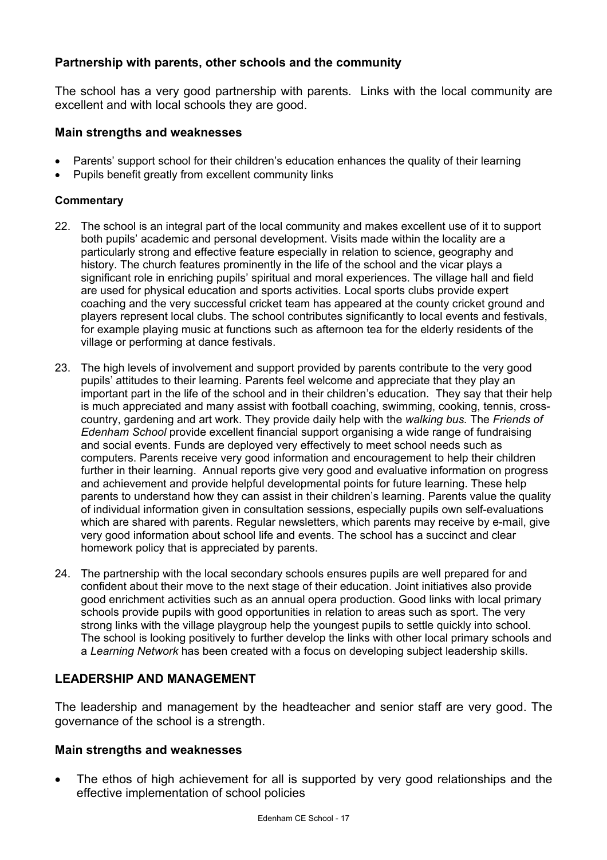# **Partnership with parents, other schools and the community**

The school has a very good partnership with parents. Links with the local community are excellent and with local schools they are good.

### **Main strengths and weaknesses**

- Parents' support school for their children's education enhances the quality of their learning
- Pupils benefit greatly from excellent community links

### **Commentary**

- 22. The school is an integral part of the local community and makes excellent use of it to support both pupils' academic and personal development. Visits made within the locality are a particularly strong and effective feature especially in relation to science, geography and history. The church features prominently in the life of the school and the vicar plays a significant role in enriching pupils' spiritual and moral experiences. The village hall and field are used for physical education and sports activities. Local sports clubs provide expert coaching and the very successful cricket team has appeared at the county cricket ground and players represent local clubs. The school contributes significantly to local events and festivals, for example playing music at functions such as afternoon tea for the elderly residents of the village or performing at dance festivals.
- 23. The high levels of involvement and support provided by parents contribute to the very good pupils' attitudes to their learning. Parents feel welcome and appreciate that they play an important part in the life of the school and in their children's education. They say that their help is much appreciated and many assist with football coaching, swimming, cooking, tennis, crosscountry, gardening and art work. They provide daily help with the *walking bus.* The *Friends of Edenham School* provide excellent financial support organising a wide range of fundraising and social events. Funds are deployed very effectively to meet school needs such as computers. Parents receive very good information and encouragement to help their children further in their learning. Annual reports give very good and evaluative information on progress and achievement and provide helpful developmental points for future learning. These help parents to understand how they can assist in their children's learning. Parents value the quality of individual information given in consultation sessions, especially pupils own self-evaluations which are shared with parents. Regular newsletters, which parents may receive by e-mail, give very good information about school life and events. The school has a succinct and clear homework policy that is appreciated by parents.
- 24. The partnership with the local secondary schools ensures pupils are well prepared for and confident about their move to the next stage of their education. Joint initiatives also provide good enrichment activities such as an annual opera production. Good links with local primary schools provide pupils with good opportunities in relation to areas such as sport. The very strong links with the village playgroup help the youngest pupils to settle quickly into school. The school is looking positively to further develop the links with other local primary schools and a *Learning Network* has been created with a focus on developing subject leadership skills.

# **LEADERSHIP AND MANAGEMENT**

The leadership and management by the headteacher and senior staff are very good. The governance of the school is a strength.

# **Main strengths and weaknesses**

The ethos of high achievement for all is supported by very good relationships and the effective implementation of school policies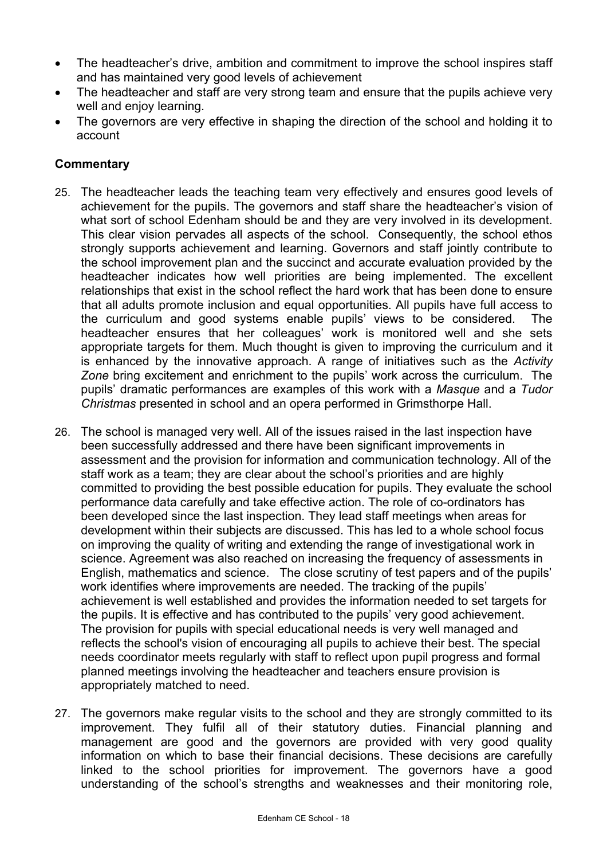- The headteacher's drive, ambition and commitment to improve the school inspires staff and has maintained very good levels of achievement
- The headteacher and staff are very strong team and ensure that the pupils achieve very well and enjoy learning.
- The governors are very effective in shaping the direction of the school and holding it to account

- 25. The headteacher leads the teaching team very effectively and ensures good levels of achievement for the pupils. The governors and staff share the headteacher's vision of what sort of school Edenham should be and they are very involved in its development. This clear vision pervades all aspects of the school. Consequently, the school ethos strongly supports achievement and learning. Governors and staff jointly contribute to the school improvement plan and the succinct and accurate evaluation provided by the headteacher indicates how well priorities are being implemented. The excellent relationships that exist in the school reflect the hard work that has been done to ensure that all adults promote inclusion and equal opportunities. All pupils have full access to the curriculum and good systems enable pupils' views to be considered. The headteacher ensures that her colleagues' work is monitored well and she sets appropriate targets for them. Much thought is given to improving the curriculum and it is enhanced by the innovative approach. A range of initiatives such as the *Activity Zone* bring excitement and enrichment to the pupils' work across the curriculum. The pupils' dramatic performances are examples of this work with a *Masque* and a *Tudor Christmas* presented in school and an opera performed in Grimsthorpe Hall.
- 26. The school is managed very well. All of the issues raised in the last inspection have been successfully addressed and there have been significant improvements in assessment and the provision for information and communication technology. All of the staff work as a team; they are clear about the school's priorities and are highly committed to providing the best possible education for pupils. They evaluate the school performance data carefully and take effective action. The role of co-ordinators has been developed since the last inspection. They lead staff meetings when areas for development within their subjects are discussed. This has led to a whole school focus on improving the quality of writing and extending the range of investigational work in science. Agreement was also reached on increasing the frequency of assessments in English, mathematics and science. The close scrutiny of test papers and of the pupils' work identifies where improvements are needed. The tracking of the pupils' achievement is well established and provides the information needed to set targets for the pupils. It is effective and has contributed to the pupils' very good achievement. The provision for pupils with special educational needs is very well managed and reflects the school's vision of encouraging all pupils to achieve their best. The special needs coordinator meets regularly with staff to reflect upon pupil progress and formal planned meetings involving the headteacher and teachers ensure provision is appropriately matched to need.
- 27. The governors make regular visits to the school and they are strongly committed to its improvement. They fulfil all of their statutory duties. Financial planning and management are good and the governors are provided with very good quality information on which to base their financial decisions. These decisions are carefully linked to the school priorities for improvement. The governors have a good understanding of the school's strengths and weaknesses and their monitoring role,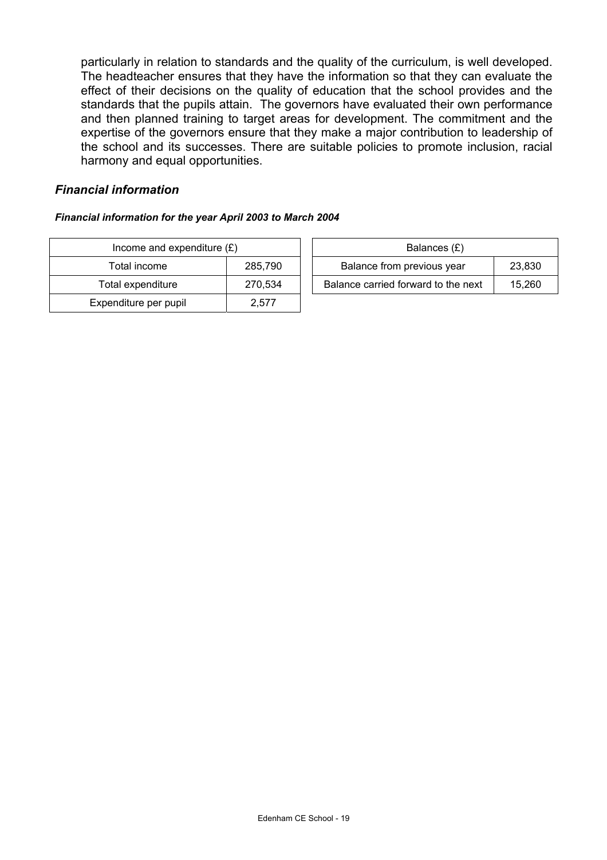particularly in relation to standards and the quality of the curriculum, is well developed. The headteacher ensures that they have the information so that they can evaluate the effect of their decisions on the quality of education that the school provides and the standards that the pupils attain. The governors have evaluated their own performance and then planned training to target areas for development. The commitment and the expertise of the governors ensure that they make a major contribution to leadership of the school and its successes. There are suitable policies to promote inclusion, racial harmony and equal opportunities.

### *Financial information*

#### *Financial information for the year April 2003 to March 2004*

| Income and expenditure $(E)$ |         | Balances (£)                        |        |
|------------------------------|---------|-------------------------------------|--------|
| Total income                 | 285,790 | Balance from previous year          | 23,830 |
| Total expenditure            | 270,534 | Balance carried forward to the next | 15.260 |
| Expenditure per pupil        | 2.577   |                                     |        |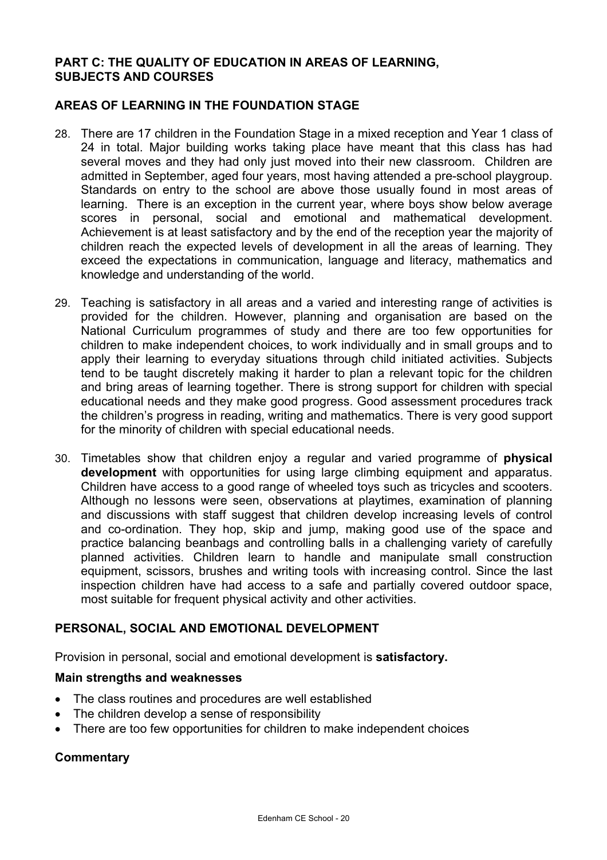# **PART C: THE QUALITY OF EDUCATION IN AREAS OF LEARNING, SUBJECTS AND COURSES**

# **AREAS OF LEARNING IN THE FOUNDATION STAGE**

- 28. There are 17 children in the Foundation Stage in a mixed reception and Year 1 class of 24 in total. Major building works taking place have meant that this class has had several moves and they had only just moved into their new classroom. Children are admitted in September, aged four years, most having attended a pre-school playgroup. Standards on entry to the school are above those usually found in most areas of learning. There is an exception in the current year, where boys show below average scores in personal, social and emotional and mathematical development. Achievement is at least satisfactory and by the end of the reception year the majority of children reach the expected levels of development in all the areas of learning. They exceed the expectations in communication, language and literacy, mathematics and knowledge and understanding of the world.
- 29. Teaching is satisfactory in all areas and a varied and interesting range of activities is provided for the children. However, planning and organisation are based on the National Curriculum programmes of study and there are too few opportunities for children to make independent choices, to work individually and in small groups and to apply their learning to everyday situations through child initiated activities. Subjects tend to be taught discretely making it harder to plan a relevant topic for the children and bring areas of learning together. There is strong support for children with special educational needs and they make good progress. Good assessment procedures track the children's progress in reading, writing and mathematics. There is very good support for the minority of children with special educational needs.
- 30. Timetables show that children enjoy a regular and varied programme of **physical development** with opportunities for using large climbing equipment and apparatus. Children have access to a good range of wheeled toys such as tricycles and scooters. Although no lessons were seen, observations at playtimes, examination of planning and discussions with staff suggest that children develop increasing levels of control and co-ordination. They hop, skip and jump, making good use of the space and practice balancing beanbags and controlling balls in a challenging variety of carefully planned activities. Children learn to handle and manipulate small construction equipment, scissors, brushes and writing tools with increasing control. Since the last inspection children have had access to a safe and partially covered outdoor space, most suitable for frequent physical activity and other activities.

# **PERSONAL, SOCIAL AND EMOTIONAL DEVELOPMENT**

Provision in personal, social and emotional development is **satisfactory.** 

#### **Main strengths and weaknesses**

- The class routines and procedures are well established
- The children develop a sense of responsibility
- There are too few opportunities for children to make independent choices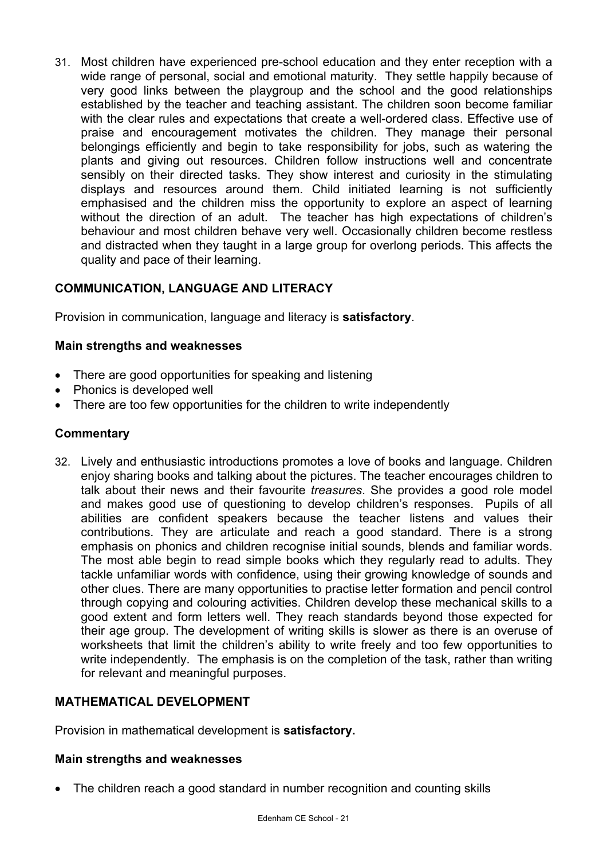31. Most children have experienced pre-school education and they enter reception with a wide range of personal, social and emotional maturity. They settle happily because of very good links between the playgroup and the school and the good relationships established by the teacher and teaching assistant. The children soon become familiar with the clear rules and expectations that create a well-ordered class. Effective use of praise and encouragement motivates the children. They manage their personal belongings efficiently and begin to take responsibility for jobs, such as watering the plants and giving out resources. Children follow instructions well and concentrate sensibly on their directed tasks. They show interest and curiosity in the stimulating displays and resources around them. Child initiated learning is not sufficiently emphasised and the children miss the opportunity to explore an aspect of learning without the direction of an adult. The teacher has high expectations of children's behaviour and most children behave very well. Occasionally children become restless and distracted when they taught in a large group for overlong periods. This affects the quality and pace of their learning.

# **COMMUNICATION, LANGUAGE AND LITERACY**

Provision in communication, language and literacy is **satisfactory**.

# **Main strengths and weaknesses**

- There are good opportunities for speaking and listening
- Phonics is developed well
- There are too few opportunities for the children to write independently

# **Commentary**

32. Lively and enthusiastic introductions promotes a love of books and language. Children enjoy sharing books and talking about the pictures. The teacher encourages children to talk about their news and their favourite *treasures*. She provides a good role model and makes good use of questioning to develop children's responses. Pupils of all abilities are confident speakers because the teacher listens and values their contributions. They are articulate and reach a good standard. There is a strong emphasis on phonics and children recognise initial sounds, blends and familiar words. The most able begin to read simple books which they regularly read to adults. They tackle unfamiliar words with confidence, using their growing knowledge of sounds and other clues. There are many opportunities to practise letter formation and pencil control through copying and colouring activities. Children develop these mechanical skills to a good extent and form letters well. They reach standards beyond those expected for their age group. The development of writing skills is slower as there is an overuse of worksheets that limit the children's ability to write freely and too few opportunities to write independently. The emphasis is on the completion of the task, rather than writing for relevant and meaningful purposes.

# **MATHEMATICAL DEVELOPMENT**

Provision in mathematical development is **satisfactory.** 

# **Main strengths and weaknesses**

• The children reach a good standard in number recognition and counting skills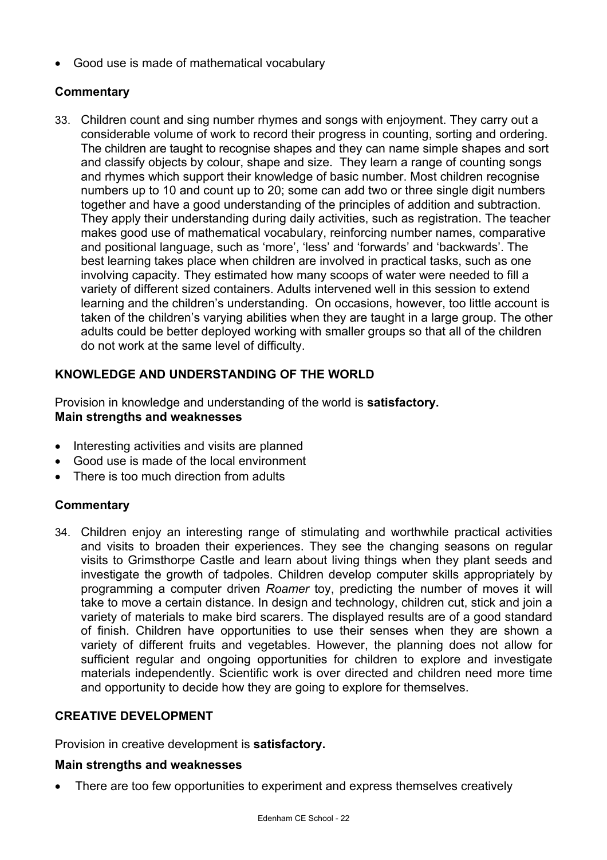• Good use is made of mathematical vocabulary

# **Commentary**

33. Children count and sing number rhymes and songs with enjoyment. They carry out a considerable volume of work to record their progress in counting, sorting and ordering. The children are taught to recognise shapes and they can name simple shapes and sort and classify objects by colour, shape and size. They learn a range of counting songs and rhymes which support their knowledge of basic number. Most children recognise numbers up to 10 and count up to 20; some can add two or three single digit numbers together and have a good understanding of the principles of addition and subtraction. They apply their understanding during daily activities, such as registration. The teacher makes good use of mathematical vocabulary, reinforcing number names, comparative and positional language, such as 'more', 'less' and 'forwards' and 'backwards'. The best learning takes place when children are involved in practical tasks, such as one involving capacity. They estimated how many scoops of water were needed to fill a variety of different sized containers. Adults intervened well in this session to extend learning and the children's understanding. On occasions, however, too little account is taken of the children's varying abilities when they are taught in a large group. The other adults could be better deployed working with smaller groups so that all of the children do not work at the same level of difficulty.

# **KNOWLEDGE AND UNDERSTANDING OF THE WORLD**

Provision in knowledge and understanding of the world is **satisfactory. Main strengths and weaknesses** 

- Interesting activities and visits are planned
- Good use is made of the local environment
- There is too much direction from adults

# **Commentary**

34. Children enjoy an interesting range of stimulating and worthwhile practical activities and visits to broaden their experiences. They see the changing seasons on regular visits to Grimsthorpe Castle and learn about living things when they plant seeds and investigate the growth of tadpoles. Children develop computer skills appropriately by programming a computer driven *Roamer* toy, predicting the number of moves it will take to move a certain distance. In design and technology, children cut, stick and join a variety of materials to make bird scarers. The displayed results are of a good standard of finish. Children have opportunities to use their senses when they are shown a variety of different fruits and vegetables. However, the planning does not allow for sufficient regular and ongoing opportunities for children to explore and investigate materials independently. Scientific work is over directed and children need more time and opportunity to decide how they are going to explore for themselves.

# **CREATIVE DEVELOPMENT**

Provision in creative development is **satisfactory.**

# **Main strengths and weaknesses**

• There are too few opportunities to experiment and express themselves creatively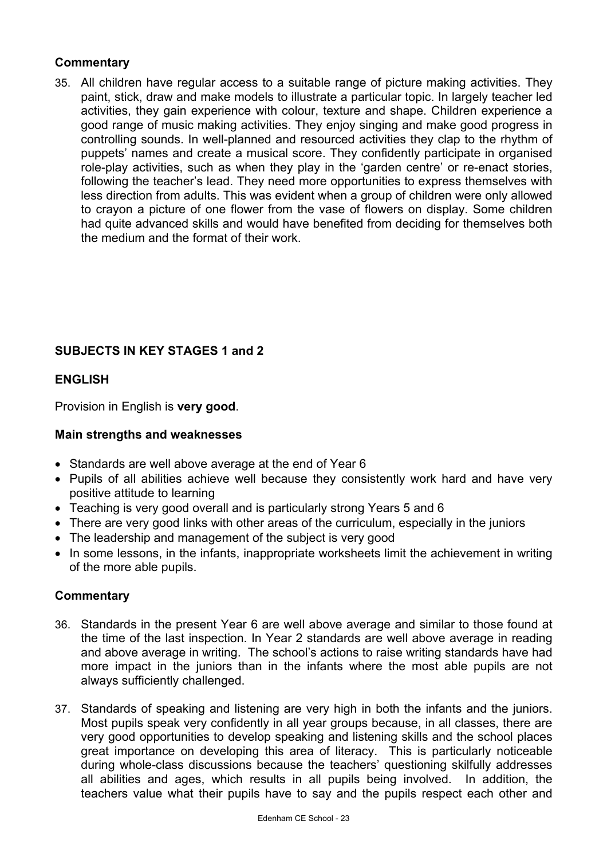# **Commentary**

35. All children have regular access to a suitable range of picture making activities. They paint, stick, draw and make models to illustrate a particular topic. In largely teacher led activities, they gain experience with colour, texture and shape. Children experience a good range of music making activities. They enjoy singing and make good progress in controlling sounds. In well-planned and resourced activities they clap to the rhythm of puppets' names and create a musical score. They confidently participate in organised role-play activities, such as when they play in the 'garden centre' or re-enact stories, following the teacher's lead. They need more opportunities to express themselves with less direction from adults. This was evident when a group of children were only allowed to crayon a picture of one flower from the vase of flowers on display. Some children had quite advanced skills and would have benefited from deciding for themselves both the medium and the format of their work.

# **SUBJECTS IN KEY STAGES 1 and 2**

# **ENGLISH**

Provision in English is **very good**.

# **Main strengths and weaknesses**

- Standards are well above average at the end of Year 6
- Pupils of all abilities achieve well because they consistently work hard and have very positive attitude to learning
- Teaching is very good overall and is particularly strong Years 5 and 6
- There are very good links with other areas of the curriculum, especially in the juniors
- The leadership and management of the subject is very good
- In some lessons, in the infants, inappropriate worksheets limit the achievement in writing of the more able pupils.

- 36. Standards in the present Year 6 are well above average and similar to those found at the time of the last inspection. In Year 2 standards are well above average in reading and above average in writing. The school's actions to raise writing standards have had more impact in the juniors than in the infants where the most able pupils are not always sufficiently challenged.
- 37. Standards of speaking and listening are very high in both the infants and the juniors. Most pupils speak very confidently in all year groups because, in all classes, there are very good opportunities to develop speaking and listening skills and the school places great importance on developing this area of literacy. This is particularly noticeable during whole-class discussions because the teachers' questioning skilfully addresses all abilities and ages, which results in all pupils being involved. In addition, the teachers value what their pupils have to say and the pupils respect each other and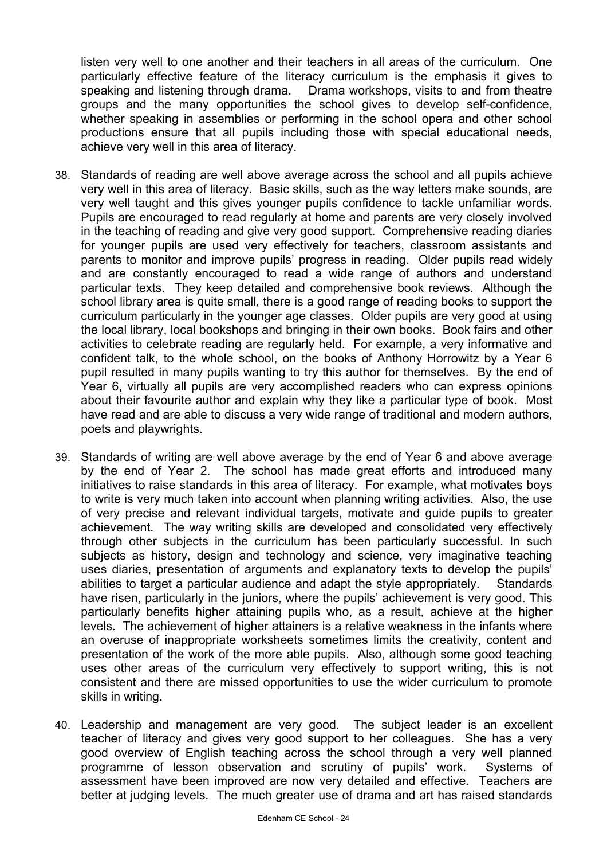listen very well to one another and their teachers in all areas of the curriculum. One particularly effective feature of the literacy curriculum is the emphasis it gives to speaking and listening through drama. Drama workshops, visits to and from theatre groups and the many opportunities the school gives to develop self-confidence, whether speaking in assemblies or performing in the school opera and other school productions ensure that all pupils including those with special educational needs, achieve very well in this area of literacy.

- 38. Standards of reading are well above average across the school and all pupils achieve very well in this area of literacy. Basic skills, such as the way letters make sounds, are very well taught and this gives younger pupils confidence to tackle unfamiliar words. Pupils are encouraged to read regularly at home and parents are very closely involved in the teaching of reading and give very good support. Comprehensive reading diaries for younger pupils are used very effectively for teachers, classroom assistants and parents to monitor and improve pupils' progress in reading. Older pupils read widely and are constantly encouraged to read a wide range of authors and understand particular texts. They keep detailed and comprehensive book reviews. Although the school library area is quite small, there is a good range of reading books to support the curriculum particularly in the younger age classes. Older pupils are very good at using the local library, local bookshops and bringing in their own books. Book fairs and other activities to celebrate reading are regularly held. For example, a very informative and confident talk, to the whole school, on the books of Anthony Horrowitz by a Year 6 pupil resulted in many pupils wanting to try this author for themselves. By the end of Year 6, virtually all pupils are very accomplished readers who can express opinions about their favourite author and explain why they like a particular type of book. Most have read and are able to discuss a very wide range of traditional and modern authors, poets and playwrights.
- 39. Standards of writing are well above average by the end of Year 6 and above average by the end of Year 2. The school has made great efforts and introduced many initiatives to raise standards in this area of literacy. For example, what motivates boys to write is very much taken into account when planning writing activities. Also, the use of very precise and relevant individual targets, motivate and guide pupils to greater achievement. The way writing skills are developed and consolidated very effectively through other subjects in the curriculum has been particularly successful. In such subiects as history, design and technology and science, very imaginative teaching uses diaries, presentation of arguments and explanatory texts to develop the pupils' abilities to target a particular audience and adapt the style appropriately. Standards have risen, particularly in the juniors, where the pupils' achievement is very good. This particularly benefits higher attaining pupils who, as a result, achieve at the higher levels. The achievement of higher attainers is a relative weakness in the infants where an overuse of inappropriate worksheets sometimes limits the creativity, content and presentation of the work of the more able pupils. Also, although some good teaching uses other areas of the curriculum very effectively to support writing, this is not consistent and there are missed opportunities to use the wider curriculum to promote skills in writing.
- 40. Leadership and management are very good. The subject leader is an excellent teacher of literacy and gives very good support to her colleagues. She has a very good overview of English teaching across the school through a very well planned programme of lesson observation and scrutiny of pupils' work. Systems of assessment have been improved are now very detailed and effective. Teachers are better at judging levels. The much greater use of drama and art has raised standards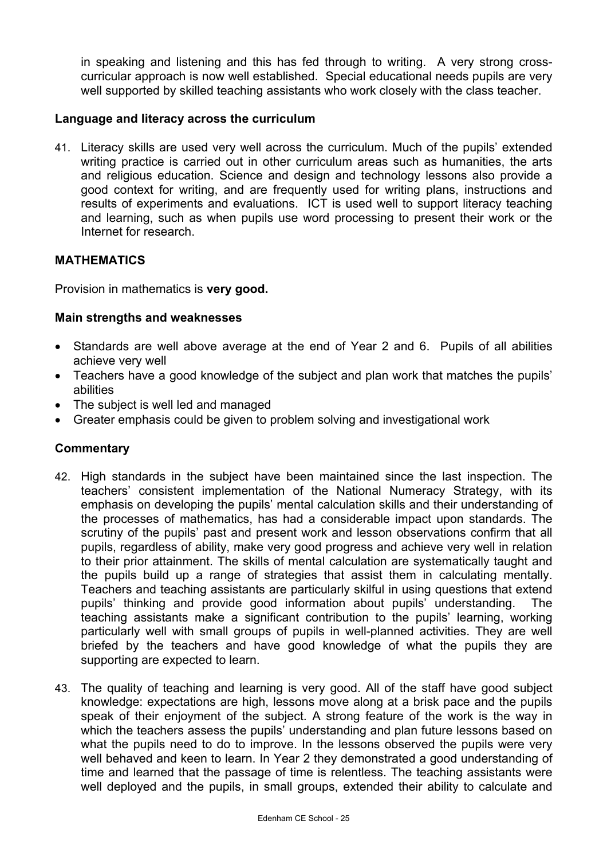in speaking and listening and this has fed through to writing. A very strong crosscurricular approach is now well established. Special educational needs pupils are very well supported by skilled teaching assistants who work closely with the class teacher.

# **Language and literacy across the curriculum**

41. Literacy skills are used very well across the curriculum. Much of the pupils' extended writing practice is carried out in other curriculum areas such as humanities, the arts and religious education. Science and design and technology lessons also provide a good context for writing, and are frequently used for writing plans, instructions and results of experiments and evaluations. ICT is used well to support literacy teaching and learning, such as when pupils use word processing to present their work or the Internet for research.

# **MATHEMATICS**

Provision in mathematics is **very good.**

### **Main strengths and weaknesses**

- Standards are well above average at the end of Year 2 and 6. Pupils of all abilities achieve very well
- Teachers have a good knowledge of the subject and plan work that matches the pupils' abilities
- The subject is well led and managed
- Greater emphasis could be given to problem solving and investigational work

- 42. High standards in the subject have been maintained since the last inspection. The teachers' consistent implementation of the National Numeracy Strategy, with its emphasis on developing the pupils' mental calculation skills and their understanding of the processes of mathematics, has had a considerable impact upon standards. The scrutiny of the pupils' past and present work and lesson observations confirm that all pupils, regardless of ability, make very good progress and achieve very well in relation to their prior attainment. The skills of mental calculation are systematically taught and the pupils build up a range of strategies that assist them in calculating mentally. Teachers and teaching assistants are particularly skilful in using questions that extend pupils' thinking and provide good information about pupils' understanding. The teaching assistants make a significant contribution to the pupils' learning, working particularly well with small groups of pupils in well-planned activities. They are well briefed by the teachers and have good knowledge of what the pupils they are supporting are expected to learn.
- 43. The quality of teaching and learning is very good. All of the staff have good subject knowledge: expectations are high, lessons move along at a brisk pace and the pupils speak of their enjoyment of the subject. A strong feature of the work is the way in which the teachers assess the pupils' understanding and plan future lessons based on what the pupils need to do to improve. In the lessons observed the pupils were very well behaved and keen to learn. In Year 2 they demonstrated a good understanding of time and learned that the passage of time is relentless. The teaching assistants were well deployed and the pupils, in small groups, extended their ability to calculate and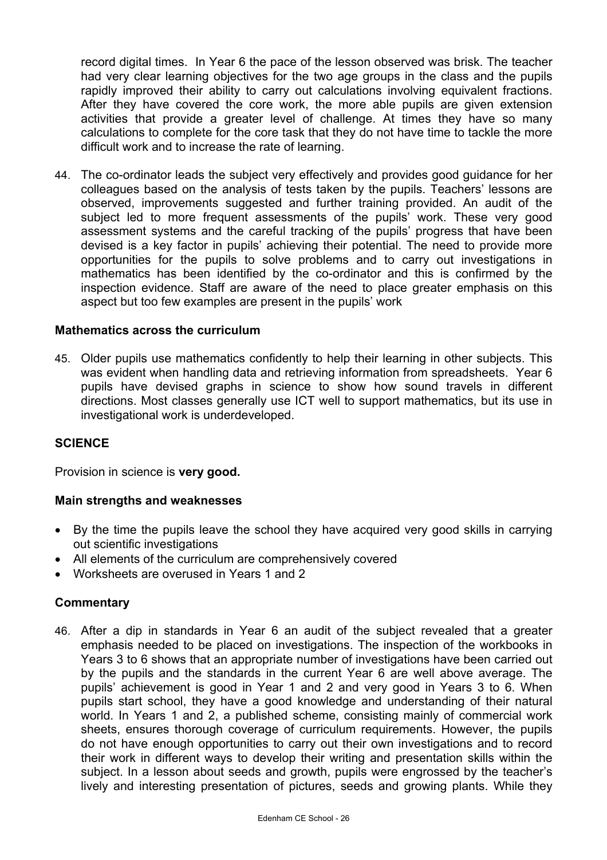record digital times. In Year 6 the pace of the lesson observed was brisk. The teacher had very clear learning objectives for the two age groups in the class and the pupils rapidly improved their ability to carry out calculations involving equivalent fractions. After they have covered the core work, the more able pupils are given extension activities that provide a greater level of challenge. At times they have so many calculations to complete for the core task that they do not have time to tackle the more difficult work and to increase the rate of learning.

44. The co-ordinator leads the subject very effectively and provides good guidance for her colleagues based on the analysis of tests taken by the pupils. Teachers' lessons are observed, improvements suggested and further training provided. An audit of the subject led to more frequent assessments of the pupils' work. These very good assessment systems and the careful tracking of the pupils' progress that have been devised is a key factor in pupils' achieving their potential. The need to provide more opportunities for the pupils to solve problems and to carry out investigations in mathematics has been identified by the co-ordinator and this is confirmed by the inspection evidence. Staff are aware of the need to place greater emphasis on this aspect but too few examples are present in the pupils' work

### **Mathematics across the curriculum**

45. Older pupils use mathematics confidently to help their learning in other subjects. This was evident when handling data and retrieving information from spreadsheets. Year 6 pupils have devised graphs in science to show how sound travels in different directions. Most classes generally use ICT well to support mathematics, but its use in investigational work is underdeveloped.

### **SCIENCE**

Provision in science is **very good.**

### **Main strengths and weaknesses**

- By the time the pupils leave the school they have acquired very good skills in carrying out scientific investigations
- All elements of the curriculum are comprehensively covered
- Worksheets are overused in Years 1 and 2

# **Commentary**

46. After a dip in standards in Year 6 an audit of the subject revealed that a greater emphasis needed to be placed on investigations. The inspection of the workbooks in Years 3 to 6 shows that an appropriate number of investigations have been carried out by the pupils and the standards in the current Year 6 are well above average. The pupils' achievement is good in Year 1 and 2 and very good in Years 3 to 6. When pupils start school, they have a good knowledge and understanding of their natural world. In Years 1 and 2, a published scheme, consisting mainly of commercial work sheets, ensures thorough coverage of curriculum requirements. However, the pupils do not have enough opportunities to carry out their own investigations and to record their work in different ways to develop their writing and presentation skills within the subject. In a lesson about seeds and growth, pupils were engrossed by the teacher's lively and interesting presentation of pictures, seeds and growing plants. While they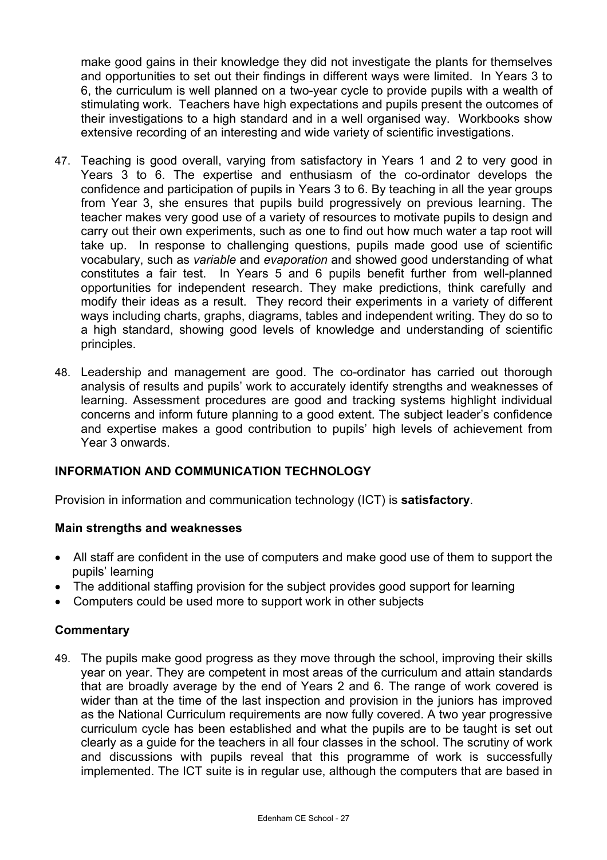make good gains in their knowledge they did not investigate the plants for themselves and opportunities to set out their findings in different ways were limited. In Years 3 to 6, the curriculum is well planned on a two-year cycle to provide pupils with a wealth of stimulating work. Teachers have high expectations and pupils present the outcomes of their investigations to a high standard and in a well organised way. Workbooks show extensive recording of an interesting and wide variety of scientific investigations.

- 47. Teaching is good overall, varying from satisfactory in Years 1 and 2 to very good in Years 3 to 6. The expertise and enthusiasm of the co-ordinator develops the confidence and participation of pupils in Years 3 to 6. By teaching in all the year groups from Year 3, she ensures that pupils build progressively on previous learning. The teacher makes very good use of a variety of resources to motivate pupils to design and carry out their own experiments, such as one to find out how much water a tap root will take up. In response to challenging questions, pupils made good use of scientific vocabulary, such as *variable* and *evaporation* and showed good understanding of what constitutes a fair test. In Years 5 and 6 pupils benefit further from well-planned opportunities for independent research. They make predictions, think carefully and modify their ideas as a result. They record their experiments in a variety of different ways including charts, graphs, diagrams, tables and independent writing. They do so to a high standard, showing good levels of knowledge and understanding of scientific principles.
- 48. Leadership and management are good. The co-ordinator has carried out thorough analysis of results and pupils' work to accurately identify strengths and weaknesses of learning. Assessment procedures are good and tracking systems highlight individual concerns and inform future planning to a good extent. The subject leader's confidence and expertise makes a good contribution to pupils' high levels of achievement from Year 3 onwards.

# **INFORMATION AND COMMUNICATION TECHNOLOGY**

Provision in information and communication technology (ICT) is **satisfactory**.

# **Main strengths and weaknesses**

- All staff are confident in the use of computers and make good use of them to support the pupils' learning
- The additional staffing provision for the subject provides good support for learning
- Computers could be used more to support work in other subjects

# **Commentary**

49. The pupils make good progress as they move through the school, improving their skills year on year. They are competent in most areas of the curriculum and attain standards that are broadly average by the end of Years 2 and 6. The range of work covered is wider than at the time of the last inspection and provision in the juniors has improved as the National Curriculum requirements are now fully covered. A two year progressive curriculum cycle has been established and what the pupils are to be taught is set out clearly as a guide for the teachers in all four classes in the school. The scrutiny of work and discussions with pupils reveal that this programme of work is successfully implemented. The ICT suite is in regular use, although the computers that are based in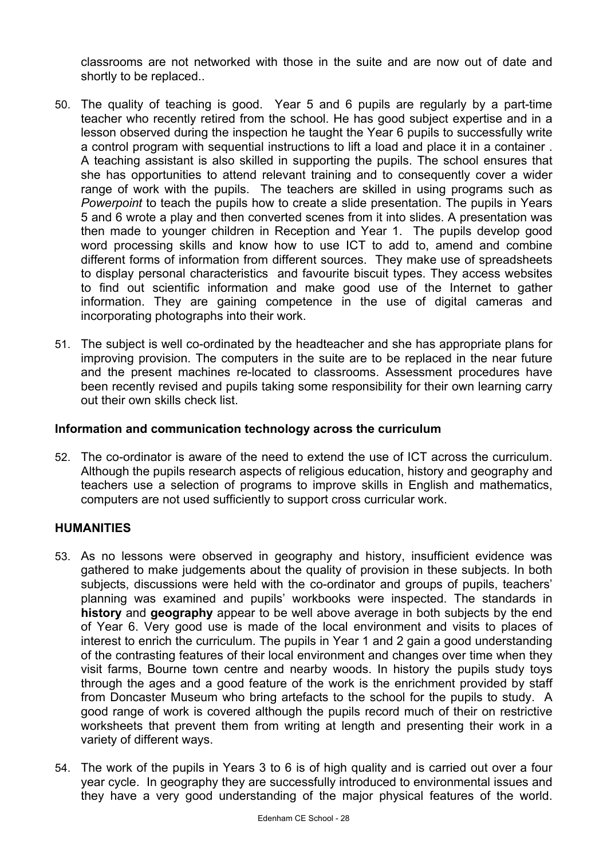classrooms are not networked with those in the suite and are now out of date and shortly to be replaced..

- 50. The quality of teaching is good. Year 5 and 6 pupils are regularly by a part-time teacher who recently retired from the school. He has good subject expertise and in a lesson observed during the inspection he taught the Year 6 pupils to successfully write a control program with sequential instructions to lift a load and place it in a container . A teaching assistant is also skilled in supporting the pupils. The school ensures that she has opportunities to attend relevant training and to consequently cover a wider range of work with the pupils. The teachers are skilled in using programs such as *Powerpoint* to teach the pupils how to create a slide presentation. The pupils in Years 5 and 6 wrote a play and then converted scenes from it into slides. A presentation was then made to younger children in Reception and Year 1. The pupils develop good word processing skills and know how to use ICT to add to, amend and combine different forms of information from different sources. They make use of spreadsheets to display personal characteristics and favourite biscuit types. They access websites to find out scientific information and make good use of the Internet to gather information. They are gaining competence in the use of digital cameras and incorporating photographs into their work.
- 51. The subject is well co-ordinated by the headteacher and she has appropriate plans for improving provision. The computers in the suite are to be replaced in the near future and the present machines re-located to classrooms. Assessment procedures have been recently revised and pupils taking some responsibility for their own learning carry out their own skills check list.

# **Information and communication technology across the curriculum**

52. The co-ordinator is aware of the need to extend the use of ICT across the curriculum. Although the pupils research aspects of religious education, history and geography and teachers use a selection of programs to improve skills in English and mathematics, computers are not used sufficiently to support cross curricular work.

#### **HUMANITIES**

- 53. As no lessons were observed in geography and history, insufficient evidence was gathered to make judgements about the quality of provision in these subjects. In both subjects, discussions were held with the co-ordinator and groups of pupils, teachers' planning was examined and pupils' workbooks were inspected. The standards in **history** and **geography** appear to be well above average in both subjects by the end of Year 6. Very good use is made of the local environment and visits to places of interest to enrich the curriculum. The pupils in Year 1 and 2 gain a good understanding of the contrasting features of their local environment and changes over time when they visit farms, Bourne town centre and nearby woods. In history the pupils study toys through the ages and a good feature of the work is the enrichment provided by staff from Doncaster Museum who bring artefacts to the school for the pupils to study. A good range of work is covered although the pupils record much of their on restrictive worksheets that prevent them from writing at length and presenting their work in a variety of different ways.
- 54. The work of the pupils in Years 3 to 6 is of high quality and is carried out over a four year cycle. In geography they are successfully introduced to environmental issues and they have a very good understanding of the major physical features of the world.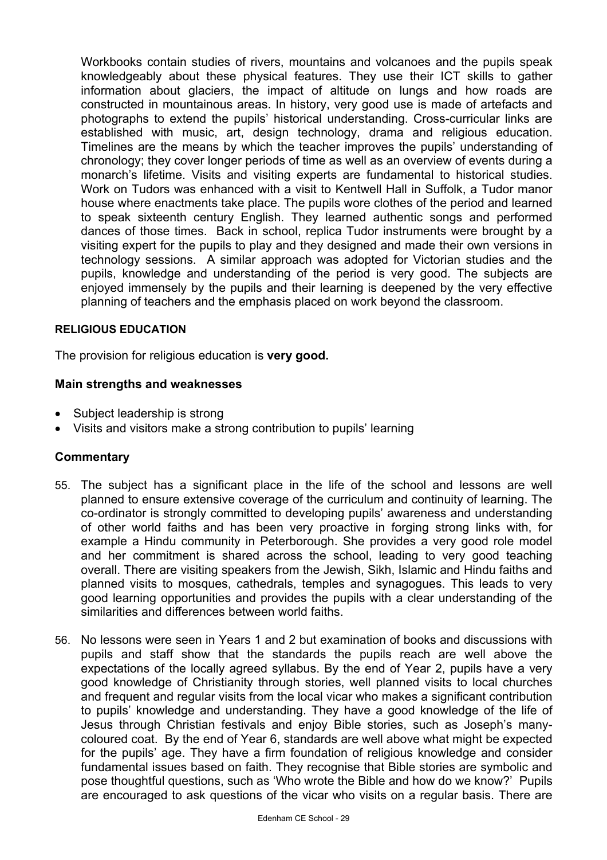Workbooks contain studies of rivers, mountains and volcanoes and the pupils speak knowledgeably about these physical features. They use their ICT skills to gather information about glaciers, the impact of altitude on lungs and how roads are constructed in mountainous areas. In history, very good use is made of artefacts and photographs to extend the pupils' historical understanding. Cross-curricular links are established with music, art, design technology, drama and religious education. Timelines are the means by which the teacher improves the pupils' understanding of chronology; they cover longer periods of time as well as an overview of events during a monarch's lifetime. Visits and visiting experts are fundamental to historical studies. Work on Tudors was enhanced with a visit to Kentwell Hall in Suffolk, a Tudor manor house where enactments take place. The pupils wore clothes of the period and learned to speak sixteenth century English. They learned authentic songs and performed dances of those times. Back in school, replica Tudor instruments were brought by a visiting expert for the pupils to play and they designed and made their own versions in technology sessions. A similar approach was adopted for Victorian studies and the pupils, knowledge and understanding of the period is very good. The subjects are enjoyed immensely by the pupils and their learning is deepened by the very effective planning of teachers and the emphasis placed on work beyond the classroom.

#### **RELIGIOUS EDUCATION**

The provision for religious education is **very good.** 

### **Main strengths and weaknesses**

- Subject leadership is strong
- Visits and visitors make a strong contribution to pupils' learning

- 55. The subject has a significant place in the life of the school and lessons are well planned to ensure extensive coverage of the curriculum and continuity of learning. The co-ordinator is strongly committed to developing pupils' awareness and understanding of other world faiths and has been very proactive in forging strong links with, for example a Hindu community in Peterborough. She provides a very good role model and her commitment is shared across the school, leading to very good teaching overall. There are visiting speakers from the Jewish, Sikh, Islamic and Hindu faiths and planned visits to mosques, cathedrals, temples and synagogues. This leads to very good learning opportunities and provides the pupils with a clear understanding of the similarities and differences between world faiths.
- 56. No lessons were seen in Years 1 and 2 but examination of books and discussions with pupils and staff show that the standards the pupils reach are well above the expectations of the locally agreed syllabus. By the end of Year 2, pupils have a very good knowledge of Christianity through stories, well planned visits to local churches and frequent and regular visits from the local vicar who makes a significant contribution to pupils' knowledge and understanding. They have a good knowledge of the life of Jesus through Christian festivals and enjoy Bible stories, such as Joseph's manycoloured coat. By the end of Year 6, standards are well above what might be expected for the pupils' age. They have a firm foundation of religious knowledge and consider fundamental issues based on faith. They recognise that Bible stories are symbolic and pose thoughtful questions, such as 'Who wrote the Bible and how do we know?' Pupils are encouraged to ask questions of the vicar who visits on a regular basis. There are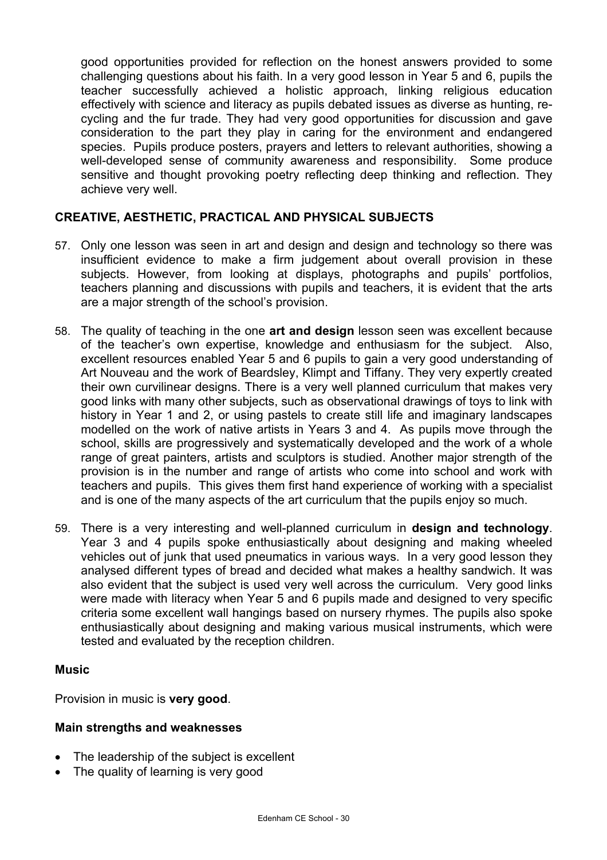good opportunities provided for reflection on the honest answers provided to some challenging questions about his faith. In a very good lesson in Year 5 and 6, pupils the teacher successfully achieved a holistic approach, linking religious education effectively with science and literacy as pupils debated issues as diverse as hunting, recycling and the fur trade. They had very good opportunities for discussion and gave consideration to the part they play in caring for the environment and endangered species. Pupils produce posters, prayers and letters to relevant authorities, showing a well-developed sense of community awareness and responsibility. Some produce sensitive and thought provoking poetry reflecting deep thinking and reflection. They achieve very well.

# **CREATIVE, AESTHETIC, PRACTICAL AND PHYSICAL SUBJECTS**

- 57. Only one lesson was seen in art and design and design and technology so there was insufficient evidence to make a firm judgement about overall provision in these subjects. However, from looking at displays, photographs and pupils' portfolios, teachers planning and discussions with pupils and teachers, it is evident that the arts are a major strength of the school's provision.
- 58. The quality of teaching in the one **art and design** lesson seen was excellent because of the teacher's own expertise, knowledge and enthusiasm for the subject. Also, excellent resources enabled Year 5 and 6 pupils to gain a very good understanding of Art Nouveau and the work of Beardsley, Klimpt and Tiffany. They very expertly created their own curvilinear designs. There is a very well planned curriculum that makes very good links with many other subjects, such as observational drawings of toys to link with history in Year 1 and 2, or using pastels to create still life and imaginary landscapes modelled on the work of native artists in Years 3 and 4. As pupils move through the school, skills are progressively and systematically developed and the work of a whole range of great painters, artists and sculptors is studied. Another major strength of the provision is in the number and range of artists who come into school and work with teachers and pupils. This gives them first hand experience of working with a specialist and is one of the many aspects of the art curriculum that the pupils enjoy so much.
- 59. There is a very interesting and well-planned curriculum in **design and technology**. Year 3 and 4 pupils spoke enthusiastically about designing and making wheeled vehicles out of junk that used pneumatics in various ways. In a very good lesson they analysed different types of bread and decided what makes a healthy sandwich. It was also evident that the subject is used very well across the curriculum. Very good links were made with literacy when Year 5 and 6 pupils made and designed to very specific criteria some excellent wall hangings based on nursery rhymes. The pupils also spoke enthusiastically about designing and making various musical instruments, which were tested and evaluated by the reception children.

# **Music**

Provision in music is **very good**.

# **Main strengths and weaknesses**

- The leadership of the subject is excellent
- The quality of learning is very good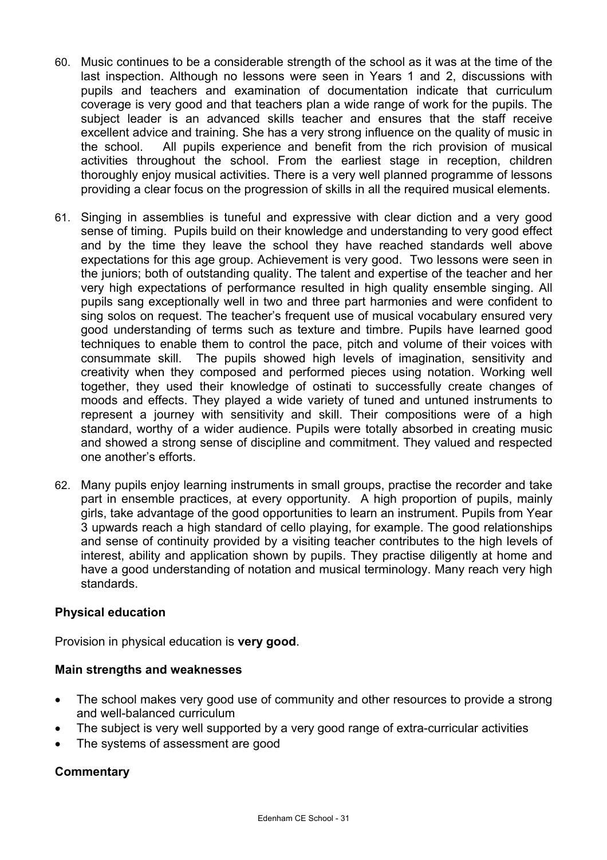- 60. Music continues to be a considerable strength of the school as it was at the time of the last inspection. Although no lessons were seen in Years 1 and 2, discussions with pupils and teachers and examination of documentation indicate that curriculum coverage is very good and that teachers plan a wide range of work for the pupils. The subject leader is an advanced skills teacher and ensures that the staff receive excellent advice and training. She has a very strong influence on the quality of music in the school. All pupils experience and benefit from the rich provision of musical activities throughout the school. From the earliest stage in reception, children thoroughly enjoy musical activities. There is a very well planned programme of lessons providing a clear focus on the progression of skills in all the required musical elements.
- 61. Singing in assemblies is tuneful and expressive with clear diction and a very good sense of timing. Pupils build on their knowledge and understanding to very good effect and by the time they leave the school they have reached standards well above expectations for this age group. Achievement is very good. Two lessons were seen in the juniors; both of outstanding quality. The talent and expertise of the teacher and her very high expectations of performance resulted in high quality ensemble singing. All pupils sang exceptionally well in two and three part harmonies and were confident to sing solos on request. The teacher's frequent use of musical vocabulary ensured very good understanding of terms such as texture and timbre. Pupils have learned good techniques to enable them to control the pace, pitch and volume of their voices with consummate skill. The pupils showed high levels of imagination, sensitivity and creativity when they composed and performed pieces using notation. Working well together, they used their knowledge of ostinati to successfully create changes of moods and effects. They played a wide variety of tuned and untuned instruments to represent a journey with sensitivity and skill. Their compositions were of a high standard, worthy of a wider audience. Pupils were totally absorbed in creating music and showed a strong sense of discipline and commitment. They valued and respected one another's efforts.
- 62. Many pupils enjoy learning instruments in small groups, practise the recorder and take part in ensemble practices, at every opportunity. A high proportion of pupils, mainly girls, take advantage of the good opportunities to learn an instrument. Pupils from Year 3 upwards reach a high standard of cello playing, for example. The good relationships and sense of continuity provided by a visiting teacher contributes to the high levels of interest, ability and application shown by pupils. They practise diligently at home and have a good understanding of notation and musical terminology. Many reach very high standards.

# **Physical education**

Provision in physical education is **very good**.

# **Main strengths and weaknesses**

- The school makes very good use of community and other resources to provide a strong and well-balanced curriculum
- The subject is very well supported by a very good range of extra-curricular activities
- The systems of assessment are good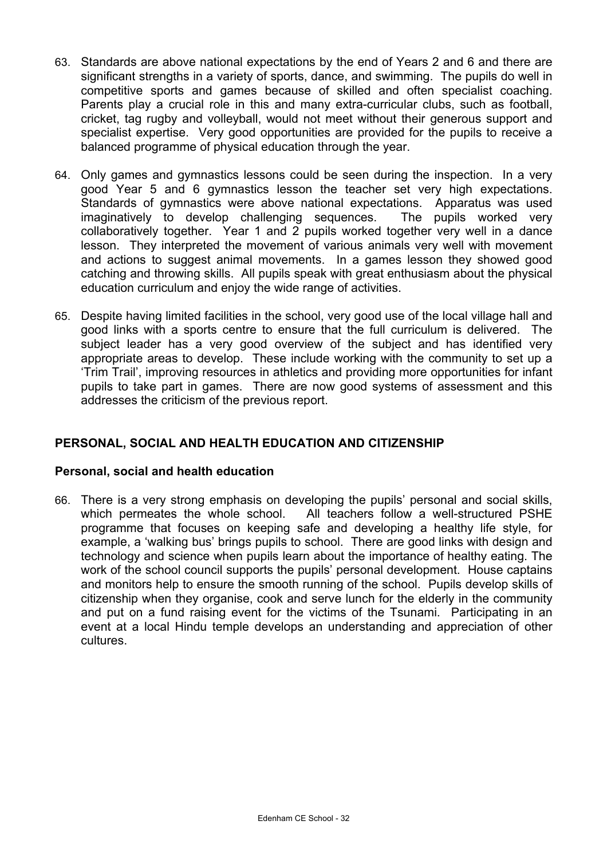- 63. Standards are above national expectations by the end of Years 2 and 6 and there are significant strengths in a variety of sports, dance, and swimming. The pupils do well in competitive sports and games because of skilled and often specialist coaching. Parents play a crucial role in this and many extra-curricular clubs, such as football, cricket, tag rugby and volleyball, would not meet without their generous support and specialist expertise. Very good opportunities are provided for the pupils to receive a balanced programme of physical education through the year.
- 64. Only games and gymnastics lessons could be seen during the inspection. In a very good Year 5 and 6 gymnastics lesson the teacher set very high expectations. Standards of gymnastics were above national expectations. Apparatus was used imaginatively to develop challenging sequences. The pupils worked very collaboratively together. Year 1 and 2 pupils worked together very well in a dance lesson. They interpreted the movement of various animals very well with movement and actions to suggest animal movements. In a games lesson they showed good catching and throwing skills. All pupils speak with great enthusiasm about the physical education curriculum and enjoy the wide range of activities.
- 65. Despite having limited facilities in the school, very good use of the local village hall and good links with a sports centre to ensure that the full curriculum is delivered. The subject leader has a very good overview of the subject and has identified very appropriate areas to develop. These include working with the community to set up a 'Trim Trail', improving resources in athletics and providing more opportunities for infant pupils to take part in games. There are now good systems of assessment and this addresses the criticism of the previous report.

# **PERSONAL, SOCIAL AND HEALTH EDUCATION AND CITIZENSHIP**

# **Personal, social and health education**

66. There is a very strong emphasis on developing the pupils' personal and social skills, which permeates the whole school. All teachers follow a well-structured PSHE programme that focuses on keeping safe and developing a healthy life style, for example, a 'walking bus' brings pupils to school. There are good links with design and technology and science when pupils learn about the importance of healthy eating. The work of the school council supports the pupils' personal development. House captains and monitors help to ensure the smooth running of the school. Pupils develop skills of citizenship when they organise, cook and serve lunch for the elderly in the community and put on a fund raising event for the victims of the Tsunami. Participating in an event at a local Hindu temple develops an understanding and appreciation of other cultures.